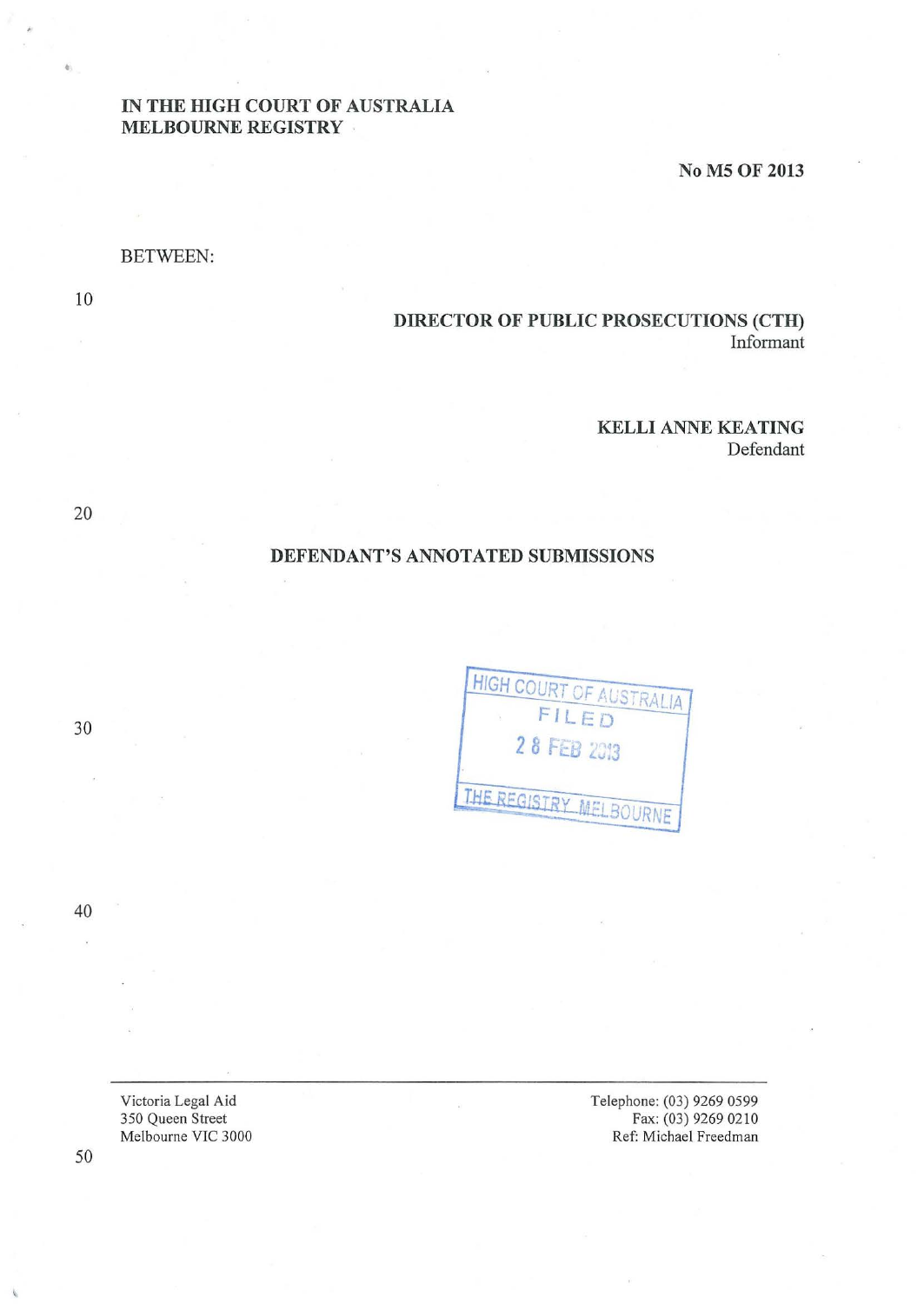# IN THE HIGH COURT OF AUSTRALIA MELBOURNE REGISTRY

No M5 OF 2013

## BETWEEN:

10

20

•

# DIRECTOR OF PUBLIC PROSECUTIONS (CTH) Informant

### KELLI ANNE KEATING

Defendant

# DEFENDANT'S ANNOTATED SUBMISSIONS

HIGH COURT OF AUSTRALIA FILED 2 8 FEB 2013 THE REGISTRY MELBOURNE

40

30

Victoria Legal Aid 350 Queen Street Melbourne VIC 3000

Telephone: (03) 9269 0599 Fax: (03) 9269 0210 Ref: Michael Freedman

50

I.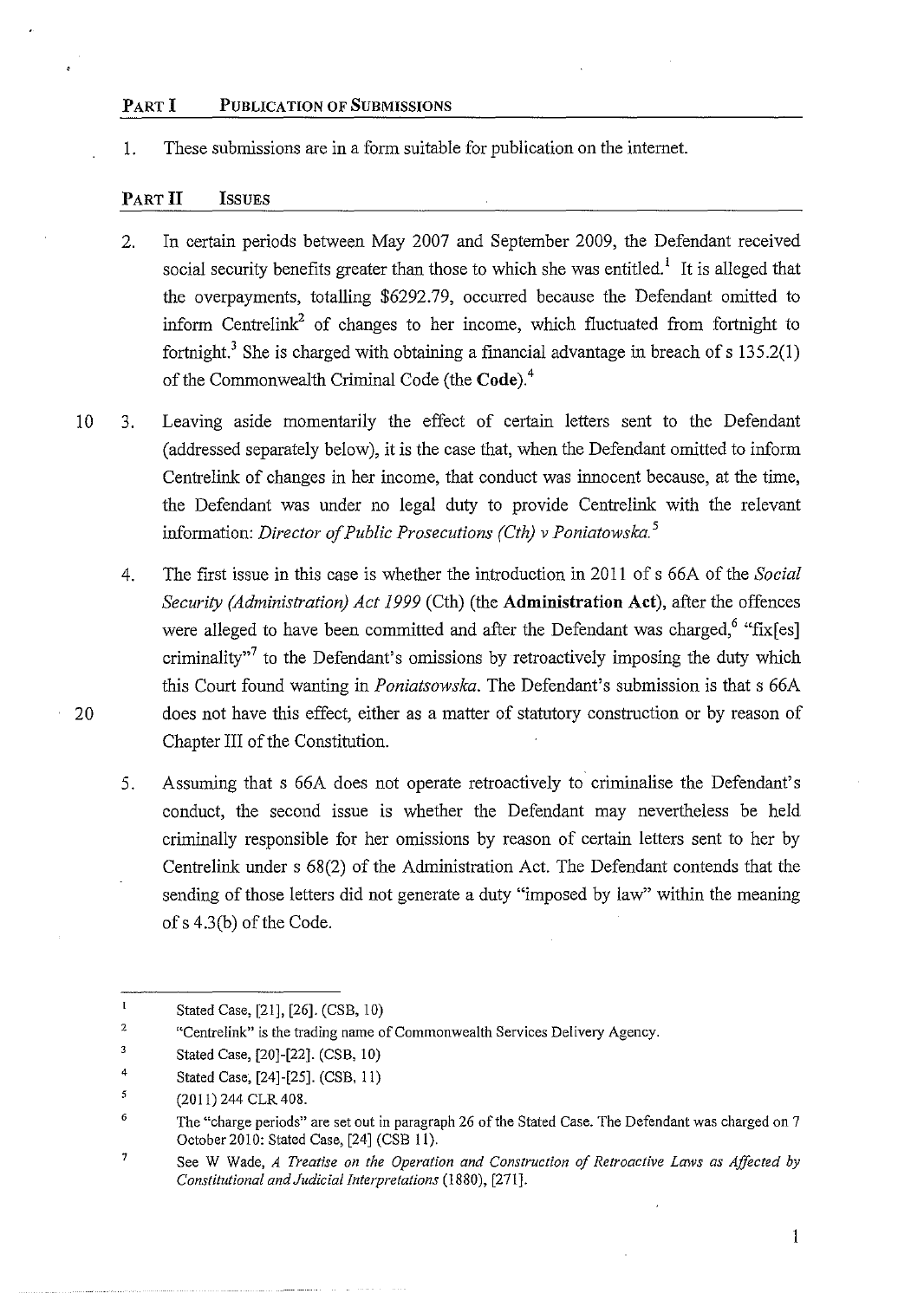### PART I PUBLICATION OF SUBMISSIONS

1. These submissions are in a form suitable for publication on the internet.

### PART II ISSUES

- 2. In certain periods between May 2007 and September 2009, the Defendant received social security benefits greater than those to which she was entitled.<sup>1</sup> It is alleged that the overpayments, totalling \$6292.79, occurred because the Defendant omitted to inform Centrelink<sup>2</sup> of changes to her income, which fluctuated from fortnight to fortnight.<sup>3</sup> She is charged with obtaining a financial advantage in breach of s  $135.2(1)$ of the Commonwealth Criminal Code (the Code).<sup>4</sup>
- 10 3. Leaving aside momentarily the effect of certain letters sent to the Defendant (addressed separately below), it is the case that, when the Defendant omitted to inform Centrelink of changes in her income, that conduct was innocent because, at the time, the Defendant was under no legal duty to provide Centrelink with the relevant information: *Director of Public Prosecutions (Cth) v Poniatowska.* <sup>5</sup>
- 4. The first issue in this case is whether the introduction in 2011 of s 66A of the *Social Security (Administration) Act 1999* (Cth) (the Administration Act), after the offences were alleged to have been committed and after the Defendant was charged,<sup>6</sup> "fix[es] criminality $^{37}$  to the Defendant's omissions by retroactively imposing the duty which this Court found wanting in *Poniatsowska.* The Defendant's submission is that s 66A 20 does not have this effect, either as a matter of statutory construction or by reason of Chapter III of the Constitution.
	- 5. Assuming that s 66A does not operate retroactively to criminalise the Defendant's conduct, the second issue is whether the Defendant may nevertheless be held criminally responsible for her omissions by reason of certain letters sent to her by Centrelink under s 68(2) of the Administration Act. The Defendant contends that the sending of those letters did not generate a duty "imposed by law" within the meaning of s 4.3 (b) of the Code.

l,

I

 $\mathbf I$ Stated Case, [21], [26]. (CSB, 10)

<sup>2</sup>  **"Centre link" is the trading name of Commonwealth Services Delivery Agency.** 

<sup>3</sup>  Stated Case, [20]-[22]. (CSB, 10)

<sup>4</sup>  Stated Case; [24]-[25]. (CSB, II)

*<sup>5</sup>*  (2011) 244 CLR 408.

<sup>6</sup>  The "charge periods" are set out in paragraph 26 of the Stated Case. The Defendant was charged on 7 October2010: Stated Case, [24] (CSB II).

<sup>7</sup>  See W Wade, *A Treatise on the Operation and Construction of Retroactive Laws as Affected by Constitutional and Judicial Interpretations* (1880), [271].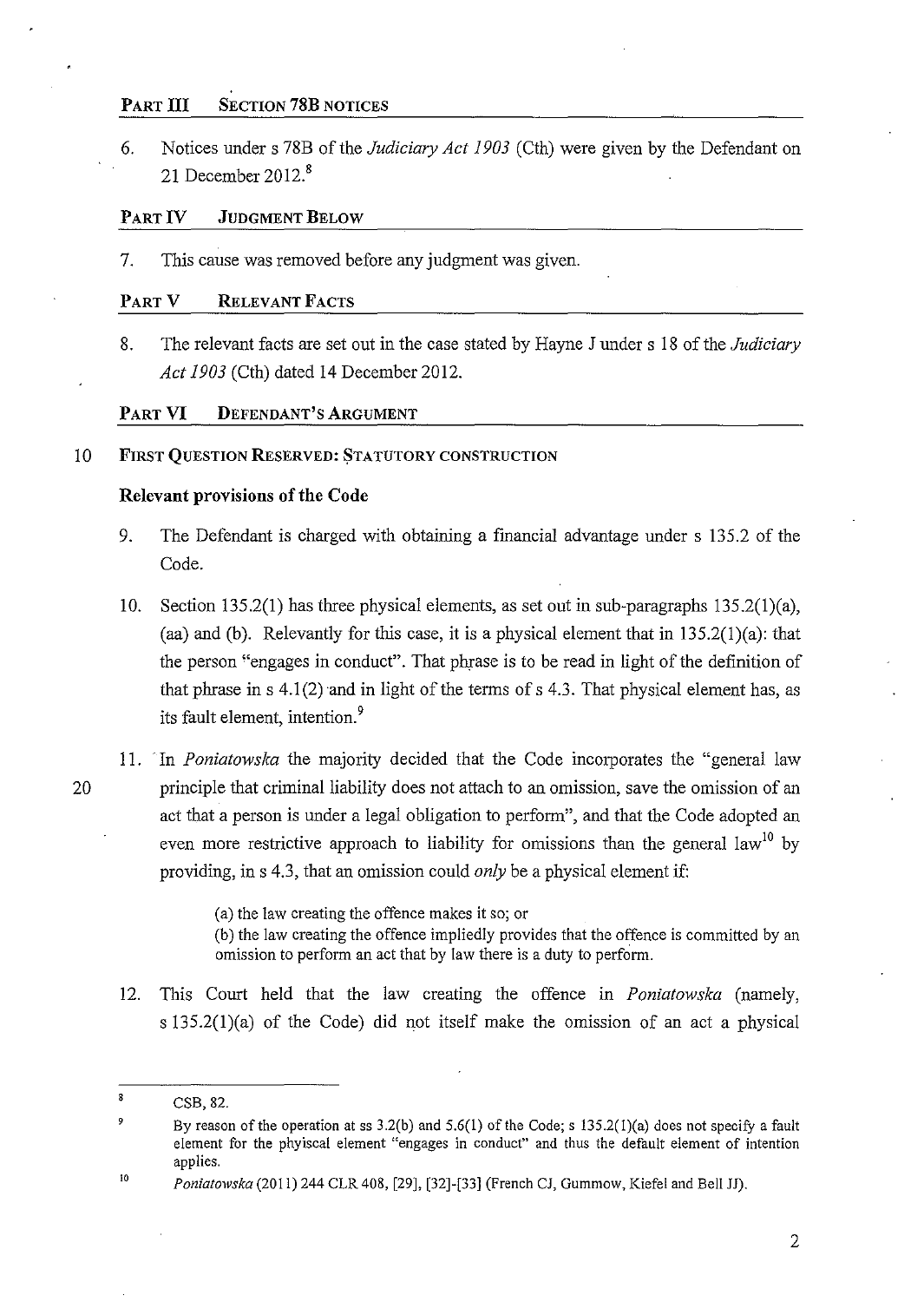## PART III SECTION 78B NOTICES

6. Notices under s 78B of the *Judiciary Act 1903* (Cth) were given by the Defendant on 21 December  $2012<sup>8</sup>$ 

## PART IV JUDGMENT BELOW

7. This cause was removed before any judgment was given.

## PART V RELEVANT FACTS

8. The relevant facts are set out in the case stated by Hayne J under s 18 of the *Judiciary Act 1903* (Cth) dated 14 December 2012.

## PART VI DEFENDANT'S ARGUMENT

### 10 FIRST QUESTION RESERVED: STATUTORY CONSTRUCTION

## Relevant provisions of the Code

- 9. The Defendant is charged with obtaining a fmancial advantage under s 135.2 of the Code.
- 10. Section 135.2(1) has three physical elements, as set out in sub-paragraphs 135.2(1)(a), (aa) and (b). Relevantly for this case, it is a physical element that in  $135.2(1)(a)$ : that the person "engages in conduct". That phrase is to be read in light of the definition of that phrase in s  $4.1(2)$  and in light of the terms of s  $4.3$ . That physical element has, as its fault element, intention.<sup>9</sup>
- 11. ·In *Poniatowska* the majority decided that the Code incorporates the "general law 20 principle that criminal liability does not attach to an omission, save the omission of an act that a person is under a legal obligation to perform", and that the Code adopted an even more restrictive approach to liability for omissions than the general law<sup>10</sup> by providing, in s 4.3, that an omission could *only* be a physical element if:

(a) the law creating the offence makes *it* so; or

(b) the law creating the offence impliedly provides that the offence is committed by an omission to perform an act that by law there is a duty to perform.

12. This Court held that the law creating the offence in *Poniatowska* (namely, s 135.2(1)(a) of the Code) did not itself make the omission of an act a physical

 $\bf 8$ CSB, 82.

<sup>9</sup> By reason of the operation at ss  $3.2(b)$  and  $5.6(1)$  of the Code; s  $135.2(1)(a)$  does not specify a fault element for the phyiscal element "engages in conduct" and thus the default element of intention applies.

<sup>10</sup>  *Poniatowska* (2011) 244 CLR 408, [29], [32]-[33] (French CJ, Gummow, Kiefel and Bell JJ).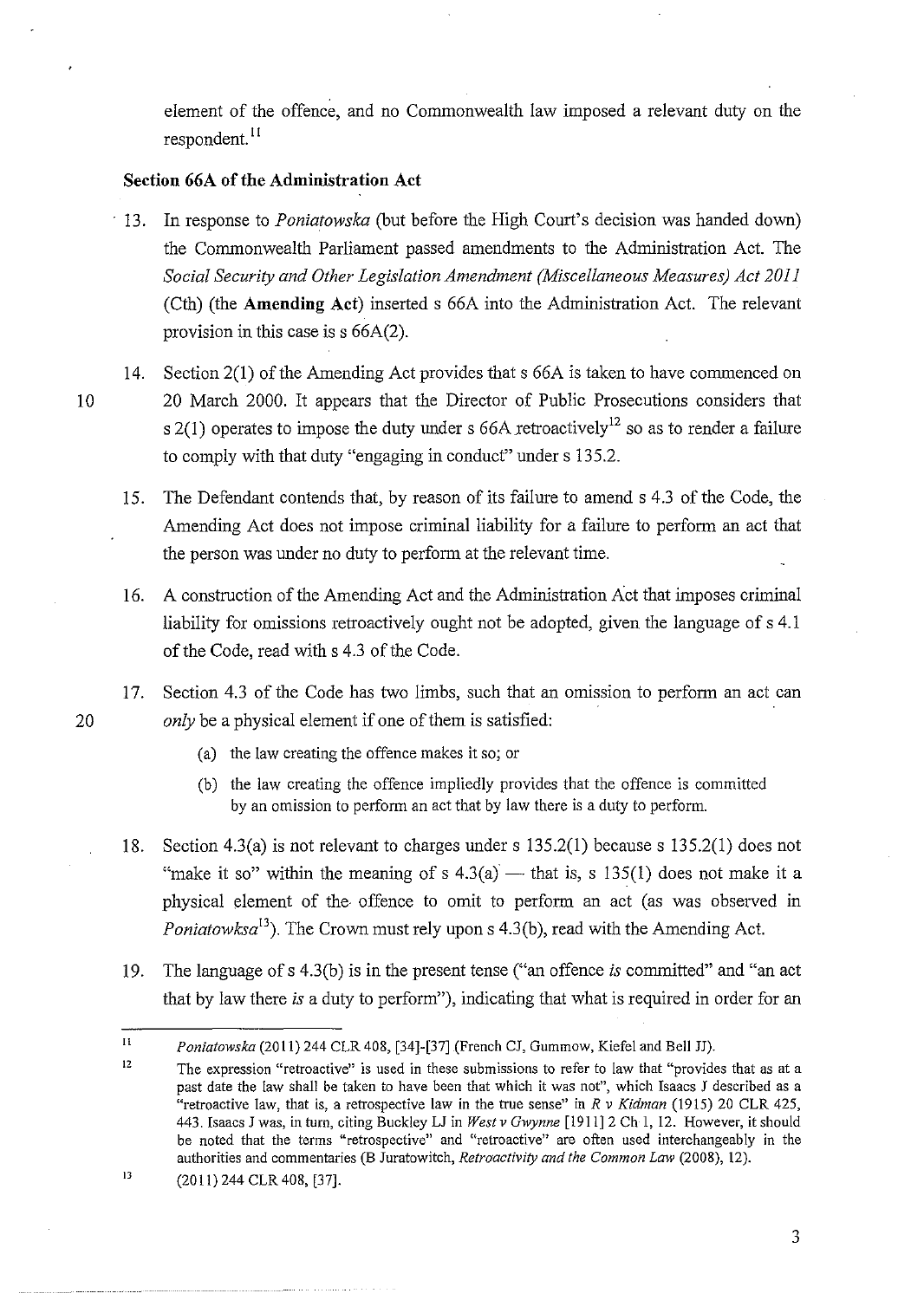element of the offence, and no Commonwealth law imposed a relevant duty on the respondent. II

## **Section 66A of the Administration Act**

- 13. In response to *Poniatowska* (but before the High Court's decision was handed down) the Commonwealth Parliament passed amendments to the Administration Act. The *Social Security and Other Legislation Amendment (Miscellaneous Measures) Act 2011*  (Cth) (the **Amending Act)** inserted s 66A into the Administration Act. The relevant provision in this case is s 66A(2).
- 14. Section 2(1) of the Amending Act provides that s 66A is taken to have commenced on 10 20 March 2000. It appears that the Director of Public Prosecutions considers that s 2(1) operates to impose the duty under s 66A retroactively<sup>12</sup> so as to render a failure to comply with that duty "engaging in conduct" under s 135.2.
	- 15. The Defendant contends that, by reason of its failure to amends 4.3 of the Code, the Amending Act does not impose criminal liability for a failure to perform an act that the person was under no duty to perform at the relevant time.
	- 16. A construction of the Amending Act and the Administration Act that imposes criminal liability for omissions retroactively ought not be adopted, given the language of s 4.1 of the Code, read with s 4.3 of the Code.

17. Section 4.3 of the Code has two limbs, such that an omission to perform an act can 20 *only* be a physical element if one of them is satisfied:

- (a) the law creating the offence makes it so; or
- (b) the law creating the offence impliedly provides that the offence is committed by an omission to perform an act that by law there is a duty to perform.
- 18. Section 4.3(a) is not relevant to charges under s 135.2(1) because s 135.2(1) does not "make it so" within the meaning of s  $4.3(a)$  — that is, s 135(1) does not make it a physical element of the offence to omit to perform an act (as was observed in *Poniatowksa*<sup>13</sup>). The Crown must rely upon s 4.3(b), read with the Amending Act.
- 19. The language ofs 4.3(b) is in the present tense ("an offence *is* committed" and "an act that by law there *is* a duty to perform"), indicating that what is required in order for an

II *Poniatowska* (2011) 244 CLR 408, [34]-[37] (French *CI,* Gum mow, Kiefel and Bell JJ).

I2 **The expression "retroactive" is used in these submissions to refer to law that "provides that as at a**  past date the law shall be taken to have been that which it was not", which Isaacs I described as a "retroactive law, that is, a retrospective law in the true sense" in *R v Kidman* (1915) 20 CLR 425, 443. Isaacs *I* was, in turn, citing Buckley LI in *West v Gwynne* [1911]2 Ch I, 12. However, it should **be noted that the terms "retrospective" and "retroactive" are often used interchangeably in the**  authorities and commentaries (B Iuratowitch, *Retroactivity and the Common Law* (2008), 12).

<sup>13</sup>  (20 II) 244 CLR 408, [37].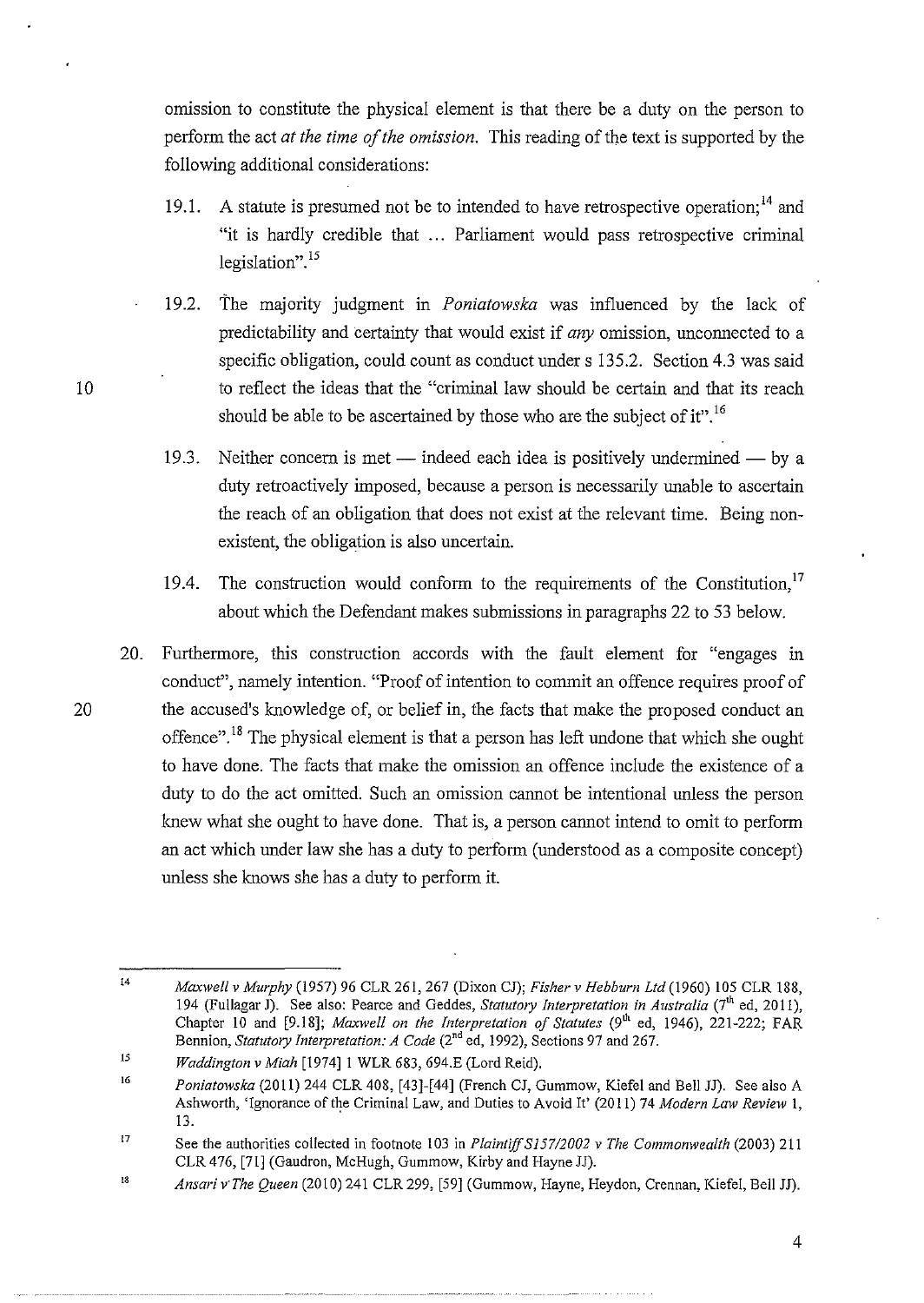omission to constitute the physical element is that there be a duty on the person to perform the act *at the time of the omission.* This reading of the text is supported by the following additional considerations:

- 19.1. A statute is presumed not be to intended to have retrospective operation;  $14$  and "it is hardly credible that ... Parliament would pass retrospective criminal legislation".<sup>15</sup>
- 19.2. The majority judgment in *Poniatowska* was influenced by the lack of predictability and certainty that would exist if *any* omission, unconnected to a specific obligation, could count as conduct under s 135.2. Section 4.3 was said to reflect the ideas that the "criminal law should be certain and that its reach should be able to be ascertained by those who are the subject of it".<sup>16</sup>
- 19.3. Neither concern is met indeed each idea is positively undermined by a duty retroactively imposed, because a person is necessarily unable to ascertain the reach of an obligation that does not exist at the relevant time. Being nonexistent, the obligation is also uncertain.
- 19.4. The construction would conform to the requirements of the Constitution,  $17$ about which the Defendant makes submissions in paragraphs 22 to 53 below.
- 20. Furthermore, this construction accords with the fault element for "engages in conduct", namely intention. "Proof of intention to commit an offence requires proof of 20 the accused's knowledge of, or belief in, the facts that make the proposed conduct an offence".<sup>18</sup> The physical element is that a person has left undone that which she ought to have done. The facts that make the omission an offence include the existence of a duty to do the act omitted. Such an omission cannot be intentional unless the person knew what she ought to have done. That is, a person cannot intend to omit to perform an act which under law she has a duty to perform (understood as a composite concept) unless she knows she has a duty to perform it.

<sup>14</sup>  *Maxwell* v *Murphy* (1957) 96 CLR 261, 267 (Dixon CJ); *Fisher* v *Hebburn Ltd* (1960) 105 CLR 188, 194 (Fullagar J). See also: Pearce and Geddes, *Statutory Interpretation in Australia* (7"' ed, 2011), Chapter 10 and [9.18]; *Maxwell on the Interpretation of Statutes* (9<sup>th</sup> ed, 1946), 221-222; FAR Bennion, *Statutory Interpretation: A Code* (2<sup>nd</sup> ed, 1992), Sections 97 and 267.

<sup>15</sup>  *Waddington* v *Miah* [1974]1 WLR 683, 694.E (Lord Reid).

<sup>16</sup>  *Poniatowska* (2011) 244 CLR 408, [43]-[44] (French CJ, Gummow, Kiefel and Bell JJ). See also A Ashworth, 'Ignorance of the Criminal Law, and Duties to Avoid It' (2011) 74 *Modern Law Review* I, 13.

<sup>17</sup>  See the authorities collected in footnote 103 in *PlaintiffSJ57/2002* v *The Commonwealth* (2003) 211 CLR 476, [71] (Gaudron, McHugh, Gummow, Kirby and Hayne JJ).

<sup>18</sup>  *Ansari v"The Queen* (2010) 241 CLR 299, [59] (Gummow, Hayne, Heydon, Crennan, Kiefel, Bell JJ).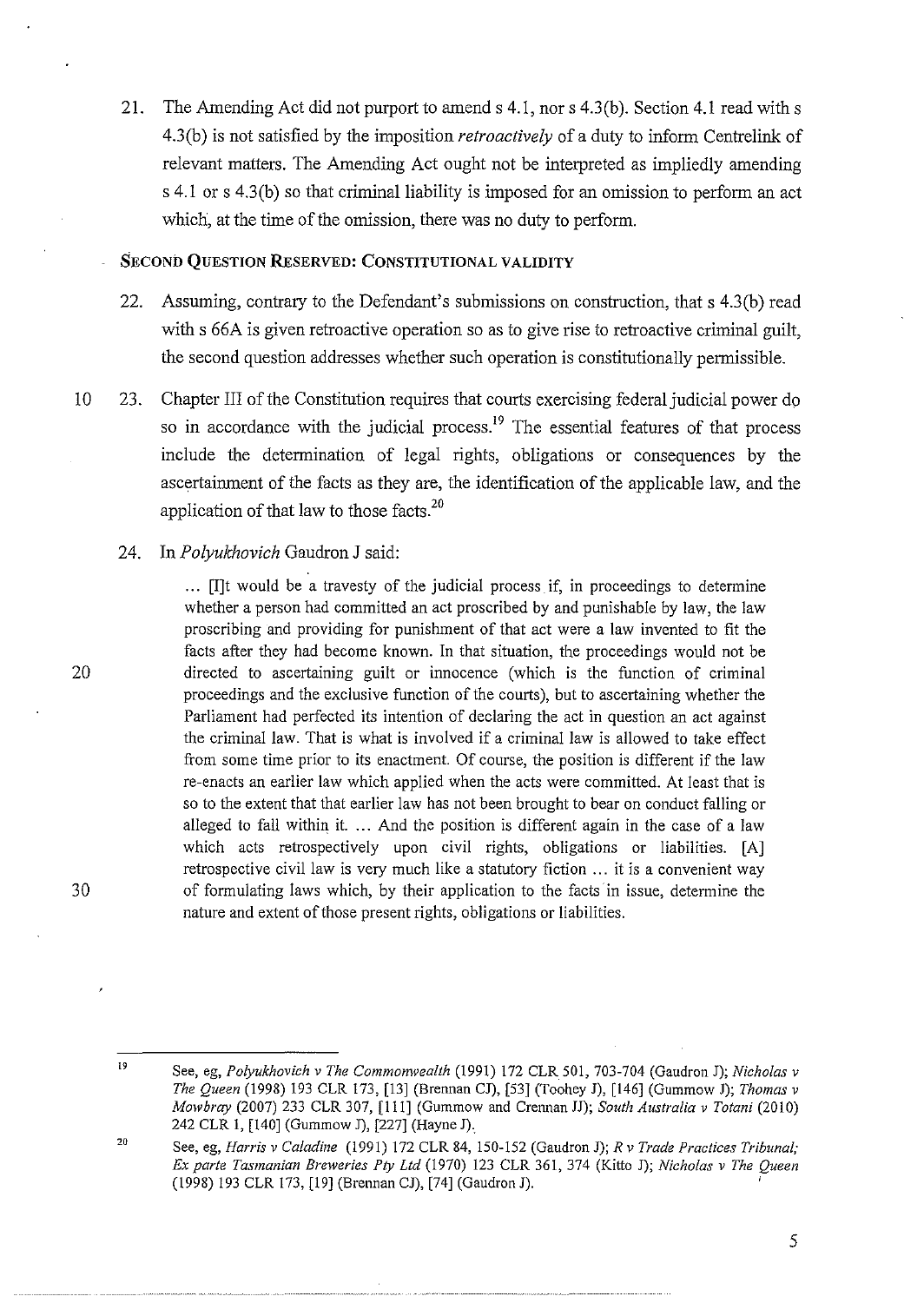21. The Amending Act did not purport to amend s 4.1, nor s 4.3(b). Section 4.1 read with s 4.3(b) is not satisfied by the imposition *retroactively* of a duty to inform Centrelink of relevant matters. The Amending Act ought not be interpreted as impliedly amending s 4.1 or s 4.3(b) so that criminal liability is imposed for an omission to perform an act which, at the time of the omission, there was no duty to perform.

### **SECOND QUESTION RESERVED: CONSTITUTIONAL VALIDITY**

- 22. Assuming, contrary to the Defendant's submissions on construction, that s 4.3(b) read with s 66A is given retroactive operation so as to give rise to retroactive criminal guilt, the second question addresses whether such operation is constitutionally permissible.
- 10 23. Chapter III of the Constitution requires that courts exercising federal judicial power do so in accordance with the judicial process.<sup>19</sup> The essential features of that process include the determination of legal rights, obligations or consequences by the ascertainment of the facts as they are, the identification of the applicable law, and the application of that law to those facts.<sup>20</sup>

#### 24. **In** *Polyukhovich* Gaudron J said:

. .. [I]t would be a travesty of the judicial process if, in proceedings to determine whether a person had committed an act proscribed by and punishable by law, the law proscribing and providing for punishment of that act were a law invented to fit the facts after they had become known. In that situation, the proceedings would not be directed to ascertaining guilt or innocence (which is the function of criminal proceedings and the exclusive function of the courts), but to ascertaining whether the Parliament had perfected its intention of declaring the act in question an act against the criminal law. That is what is involved if a criminal law is allowed to take effect from some time prior to its enactment. Of course, the position is different if the law re-enacts an earlier law which applied when the acts were committed. At least that is so to the extent that that earlier law has not been brought to bear on conduct falling or alleged to fall within it. ... And the position is different again in the case of a law which acts retrospectively upon civil rights, obligations or liabilities. [A] retrospective civil law is very much like a statutory fiction ... it is a convenient way of formulating laws which, by their application to the facts in issue, determine the nature and extent of those present rights, obligations or liabilities.

20

l9 See, eg, *Polyukhovich* v *The Commonwealth* (1991) 172 CLR501, 703-704 (Gaudron J); *Nicholas* v *The Queen* (1998) 193 CLR 173, [13] (Brennan CJ), [53] (Toohey J), [146] (Gummow **J);** *Thomas* v *Mowbray* (2007) 233 CLR 307, [ill] (Gummow and Crennan JJ); *South Australia* v *Totani* (2010) 242 CLR l, [140] (Gummow J), [227] (Hayne J).

<sup>20</sup>  See, eg, *Harris* v *Caladine* (1991) 172 CLR 84, 150-152 (Gaudron J); *R* v *Trade Practices Tribunal; Ex parte Tasmanian Breweries Ply Ltd* (1970) 123 CLR 361, 374 (Kitto J); *Nicholas v The Queen*  (1998) 193 CLR 173, [19] (Brennan CJ), [74] (Gaudron J). '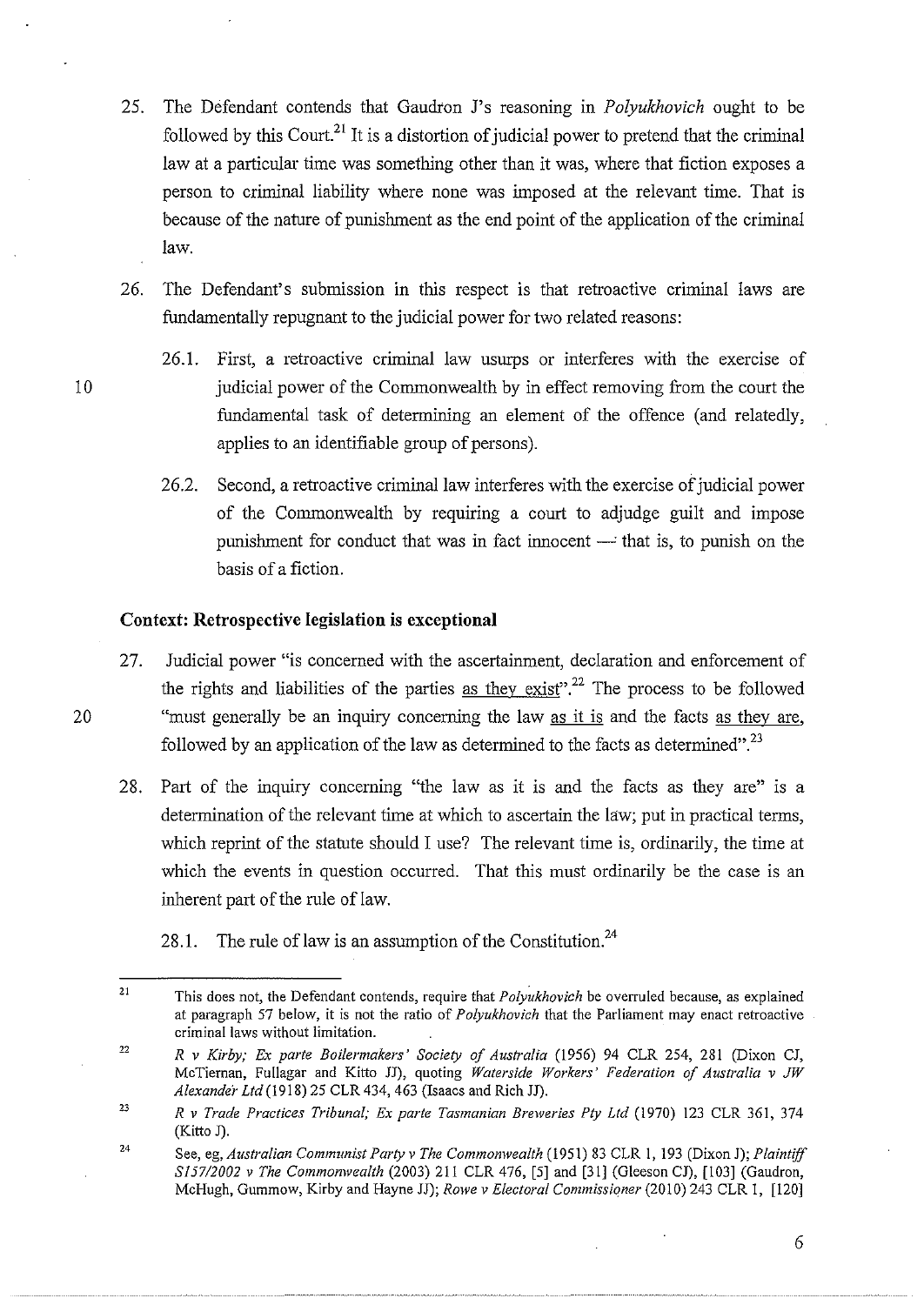- 25. The Defendant contends that Gaudron J's reasoning in *Polyukhovich* ought to be followed by this Court.<sup>21</sup> It is a distortion of judicial power to pretend that the criminal law at a particular time was something other than it was, where that fiction exposes a person to criminal liability where none was imposed at the relevant time. That is because of the nature of punishment as the end point of the application of the criminal law.
- 26. The Defendant's submission in this respect is that retroactive criminal laws are fundamentally repugnant to the judicial power for two related reasons:
- 26.1. First, a retroactive criminal law usurps or interferes with the exercise of 10 judicial power of the Commonwealth by in effect removing from the court the fundamental task of determining an element of the offence (and relatedly, applies to an identifiable group of persons).
	- 26.2. Second, a retroactive criminal law interferes with the exercise of judicial power of the Commonwealth by requiring a court to adjudge guilt and impose punishment for conduct that was in fact innocent  $-$  that is, to punish on the basis of a fiction.

## **Context: Retrospective legislation is exceptional**

- 27. Judicial power "is concerned with the ascertainment, declaration and enforcement of the rights and liabilities of the parties as they exist".<sup>22</sup> The process to be followed 20 "must generally be an inquiry concerning the law as it is and the facts as they are, followed by an application of the law as determined to the facts as determined".<sup>23</sup>
	- 28. Part of the inquiry concerning "the law as it is and the facts as they are" is a determination of the relevant time at which to ascertain the law; put in practical terms, which reprint of the statute should I use? The relevant time is, ordinarily, the time at which the events in question occurred. That this must ordinarily be the case is an inherent part of the rule of law.
		- 28.1. The rule of law is an assumption of the Constitution.<sup>24</sup>

<sup>21</sup>  This does not, the Defendant contends, require that *Polyukhovich* be overruled because, as explained at paragraph 57 below, it is not the ratio of *Polyukhovich* that the Parliament may enact retroactive **criminal laws without limitation.** 

<sup>22</sup>  *R v Kirby; Ex parte Boilermakers' Society of Australia* (1956) 94 CLR 254, 281 (Dixon CJ, McTiernan, Fullagar and Kitto JJ), quoting *Waterside Workers' Federation of Australia v JW Alexander Ltd* (1918) 25 CLR 434, 463 (Isaacs and Rich JJ).

**<sup>23</sup>**  *R v Trade Practices Tribunal; Ex parte Tasmanian Breweries Pty Ltd* (1970) 123 CLR 361, 374 (Kitto J).

<sup>24</sup>  See, eg, *Australian Communist Party v The Commonwealth* (1951) 83 CLR 1, 193 (Dixon J); *Plaintiff S157/2002 v The Commonwealth* (2003) 211 CLR 476, [5] and [31] (GleesonCJ), [103] (Gaudron, McHugh, Gummow, Kirby and Hayne JJ); *Rowe v Electoral Commissioner* (2010) 243 CLR I, [120]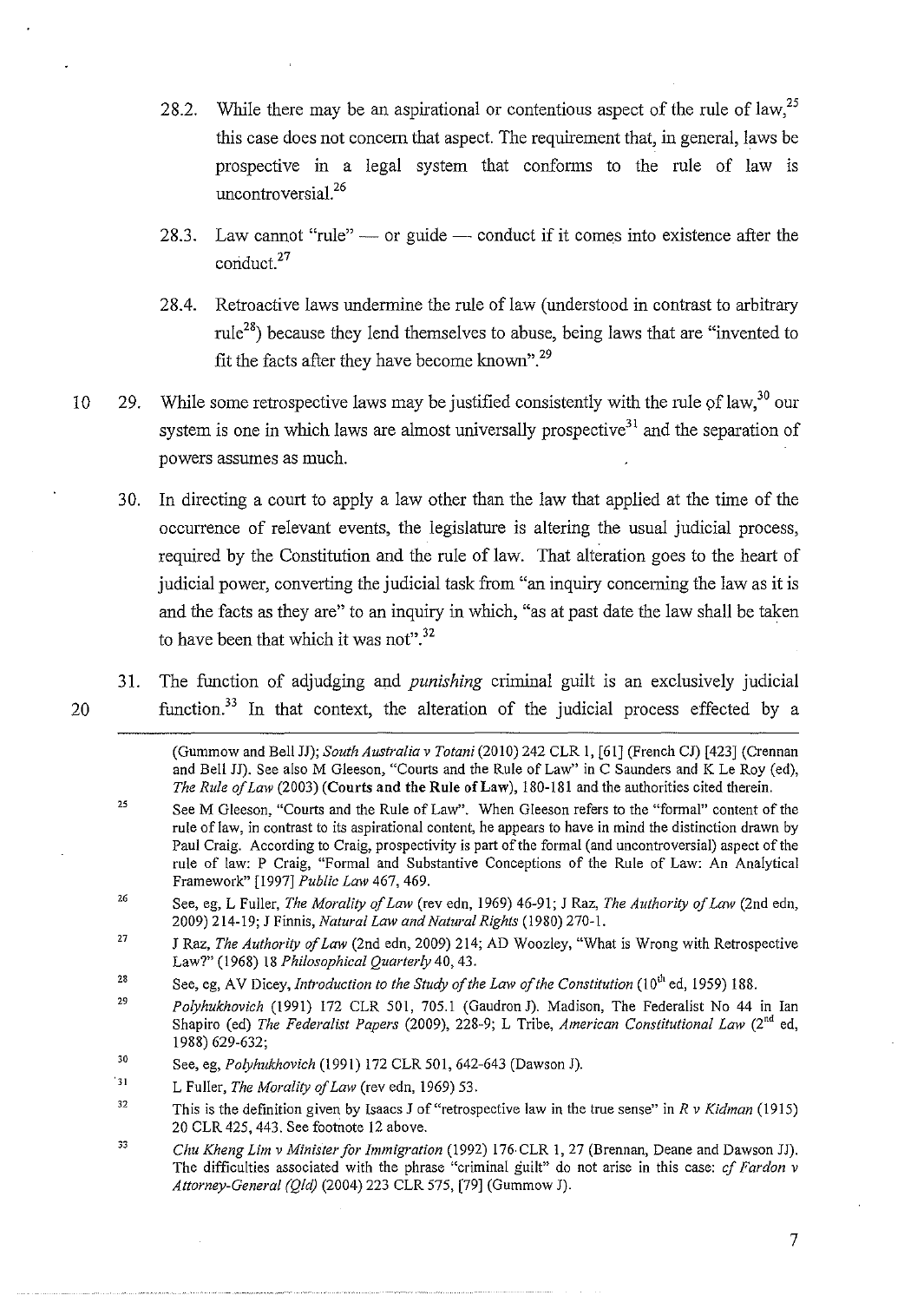- 28.2. While there may be an aspirational or contentious aspect of the rule of law,  $^{25}$ this case does not concern that aspect. The requirement that, in general, laws be prospective in a legal system that conforms to the rule of law is uncontroversial.<sup>26</sup>
- 28.3. Law cannot "rule"  $\sim$  or guide  $\sim$  conduct if it comes into existence after the conduct.<sup>27</sup>
- 28.4. Retroactive laws undermine the rule of law (understood in contrast to arbitrary rule<sup>28</sup>) because they lend themselves to abuse, being laws that are "invented to fit the facts after they have become known".<sup>29</sup>
- 10 29. While some retrospective laws may be justified consistently with the rule of law,  $30\,\text{our}$ system is one in which laws are almost universally prospective<sup>31</sup> and the separation of powers assumes as much.
	- 30. In directing a court to apply a law other than the law that applied at the time of the occurrence of relevant events, the legislature is altering the usual judicial process, required by the Constitution and the rule of law. That alteration goes to the heart of judicial power, converting the judicial task from "an inquiry concerning the law as it is and the facts as they are" to an inquiry in which, "as at past date the law shall be taken to have been that which it was not".<sup>32</sup>
- 31. The function of adjudging and *punishing* criminal guilt is an exclusively judicial 20 function.33 In that context, the alteration of the judicial process effected by a

(Gummow and Bell JJ); *South Australia v Totani* (2010) 242 CLR I, [61] (French CJ) [423] (Crennan and Bell JJ). See also M Gleeson, "Courts and the Rule of Law" in C Saunders and K Le Roy (ed), *The Rule of Lmv* (2003) (Courts and the Rule of Law), 180-181 and the authorities cited therein.

- 25 SeeM Gleeson, "Courts and the Rule of Law". When Gleeson refers to the "formal" content of the rule oflaw, in contrast to its aspirational content, he appears to have in mind the distinction drawn by Paul Craig. According to Craig, prospectivity is part of the formal (and uncontroversial) aspect of the rule of law: P Craig, "Formal and Substantive Conceptions of the Rule of Law: An Analytical Framework" [1997] *Public Lmv* 467, 469.
- 26 See, eg, L Fuller, *The Morality of Lmv* (rev edn, 1969) 46-91; J Raz, *The Authority of Lmv* (2nd edn, 2009) 214-19; *I* Finnis, *Natural Lmv and Natural Rights* (1980) 270-1.
- 27 J Raz, *The Authority of Law* (2nd edn, 2009) 214; AD Woozley, "What is Wrong with Retrospective Law?" (1968) 18 *Philosophical Quarterly* 40, 43.
- 28 See, eg, AV Dicey, *Introduction to the Study of the Law of the Constitution* (10<sup>th</sup> ed, 1959) 188.
- 29 *Polyhukhovich* (1991) 172 CLR 501, 705.1 (GaudronJ). Madison, The Federalist No 44 in Ian Shapiro (ed) *The Federalist Papers* (2009), 228-9; L Tribe, *American Constitutional Lmv* (2"d ed, 1988) 629-632;

33 *Chu Kheng Lim v Minister for Immigration* (1992) 176·CLR 1, 27 (Brennan, Deane and Dawson JJ). The difficulties associated with the phrase "criminal guilt" do not arise in this case: *cf Fardon v Attorney-General (Qld)* (2004) 223 CLR 575, [79] (Gummow J).

<sup>30</sup>  See, eg, *Polyhukhovich* (1991) 172 CLR 501, 642-643 (Dawson J).

 $\sqrt{3}1$ L Fuller, *The Morality of Lmv* (rev edn, 1969) 53.

<sup>32</sup>  This is the definition given by Isaacs *I* of "retrospective law in the true sense" in *R v Kidman* (1915) 20 CLR 425, 443. See footnote 12 above.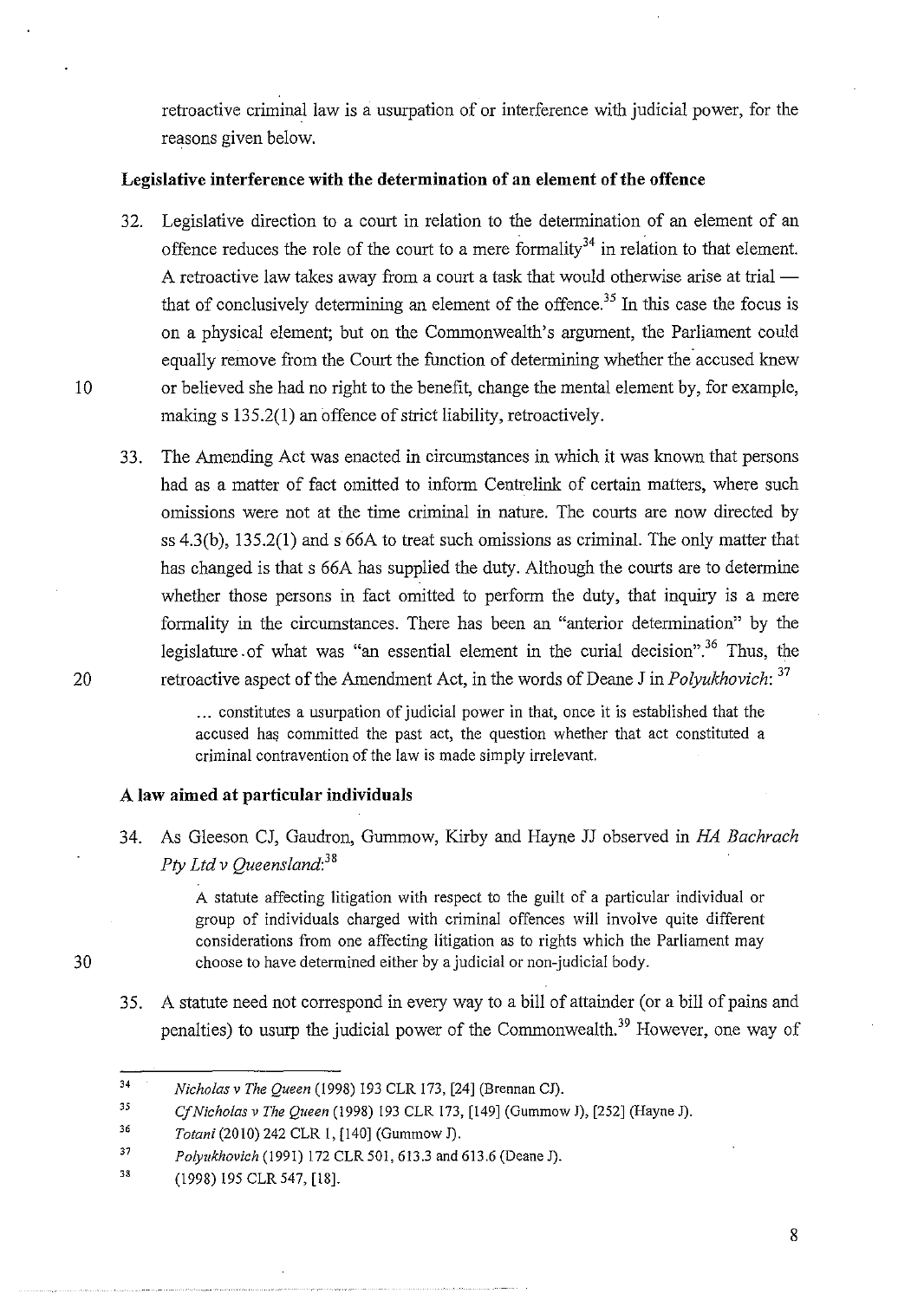retroactive criminal law is a usurpation of or interference with judicial power, for the reasons given below.

## **Legislative interference with the determination of an element of the offence**

- 32. Legislative direction to a court in relation to the determination of an element of an offence reduces the role of the court to a mere formality<sup>34</sup> in relation to that element. A retroactive law takes away from a court a task that would otherwise arise at trial  $$ that of conclusively determining an element of the offence.<sup>35</sup> In this case the focus is on a physical element; but on the Commonwealth's argument, the Parliament could equally remove from the Court the function of determining whether the accused knew 10 or believed she had no right to the benefit, change the mental element by, for example, making s 135.2(1) an offence of strict liability, retroactively.
- 33. The Amending Act was enacted in circumstances in which it was known that persons had as a matter of fact omitted to inform Centrelink of certain matters, where such omissions were not at the time criminal in nature. The courts are now directed by ss 4.3(b), 135.2(1) and s 66A to treat such omissions as criminal. The only matter that has changed is that s 66A has supplied the duty. Although the courts are to determine whether those persons in fact omitted to perform the duty, that inquiry is a mere formality in the circumstances. There has been an "anterior determination" by the legislature of what was "an essential element in the curial decision".<sup>36</sup> Thus, the 20 retroactive aspect of the Amendment Act, in the words of Deane J in *Polyukhovich:* <sup>37</sup>

... constitutes a usurpation of judicial power in that, once it is established that the accused has committed the past act, the question whether that act constituted a criminal contravention of the law is made simply irrelevant.

## **A law aimed at particular individuals**

34. As Gleeson CJ, Gaudron, Gurnmow, Kirby and Hayne JJ observed in *HA Bachrach Pty Ltd v Queensland: <sup>38</sup>*

> A statute affecting litigation with respect to the guilt of a particular individual or group of individuals charged with criminal offences will involve quite different considerations from one affecting litigation as to rights which the Parliament may choose to have determined either by a judicial or non-judicial body.

35. A statute need not correspond in every way to a bill of attainder (or a bill of pains and penalties) to usurp the judicial power of the Commonwealth.<sup>39</sup> However, one way of

<sup>34</sup>  *Nicholas* v *The Queen* (1998) 193 CLR 173, [24] (Brennan CJ).

<sup>35</sup>  *CfNicholas* v *The Queen* (1998) 193 CLR 173, [149] (Gummow J), [252] (Hayne J).

<sup>36</sup>  *Totani* (2010) 242 CLR I, [140] (Gummow J).

<sup>37</sup>  *Polyukhovich* (1991) 172 CLR 501, 613.3 and 613.6 (Deane J).

<sup>33</sup> (1998) 195 CLR 547, [18].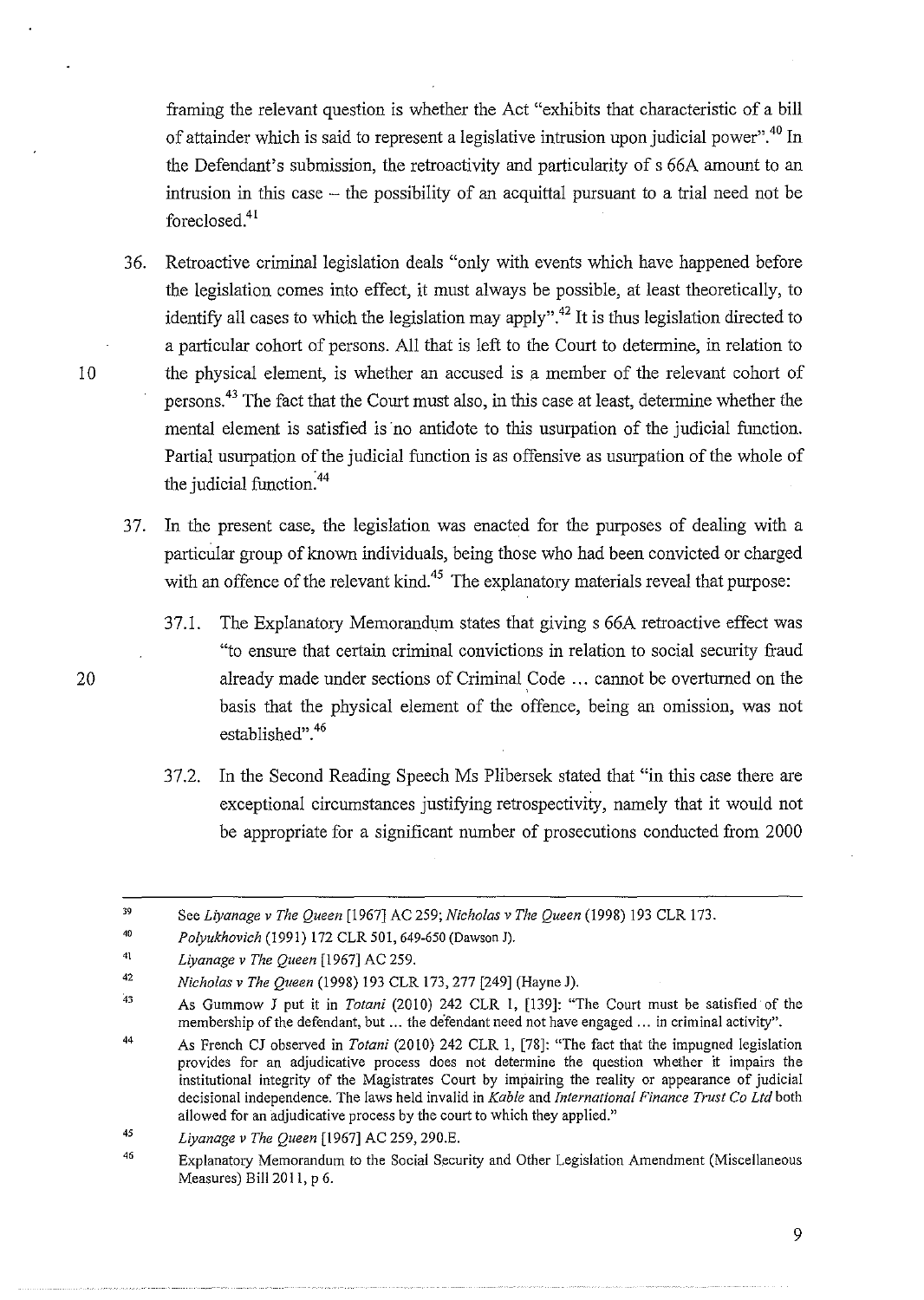framing the relevant question is whether the Act "exhibits that characteristic of a bill of attainder which is said to represent a legislative intrusion upon judicial power". 40 In the Defendant's submission, the retroactivity and particularity of s 66A amount to an intrusion in this case  $-$  the possibility of an acquittal pursuant to a trial need not be foreclosed.<sup>41</sup>

- 3 6. Retroactive criminal legislation deals "only with events which have happened before the legislation comes into effect, it must always be possible, at least theoretically, to identify all cases to which the legislation may apply".<sup>42</sup> It is thus legislation directed to a particular cohort of persons. All that is left to the Court to determine, in relation to 10 the physical element, is whether an accused is a member of the relevant cohort of persons. 43 The fact that the Court must also, in this case at least, determine whether the mental element is satisfied is no antidote to this usurpation of the judicial function. Partial usurpation of the judicial function is as offensive as usurpation of the whole of the judicial function: 44
	- 3 7. In the present case, the legislation was enacted for the purposes of dealing with a particular group of known individuals, being those who had been convicted or charged with an offence of the relevant kind.<sup>45</sup> The explanatory materials reveal that purpose:
- 37.1. The Explanatory Memorandum states that giving s 66A retroactive effect was "to ensure that certain criminal convictions in relation to social security fraud 20 already made under sections of Criminal Code ... cannot be overturned on the basis that the physical element of the offence, being an omission, was not established". 46
	- 37.2. In the Second Reading Speech Ms Plibersek stated that "in this case there are exceptional circumstances justifying retrospectivity, namely that it would not be appropriate for a significant number of prosecutions conducted from 2000

<sup>39</sup>  See *Liyanage v The Queen* (1967] AC 259; *Nicholas v The Queen* (1998) 193 CLR 173.

<sup>40</sup>  *Polyukhovich* (1991) 172 CLR 501,649-650 (Dawson J).

<sup>41</sup>  *Liyanage v The Queen* (1967] AC 259.

<sup>42</sup>  *Nicholas v The Queen* (1998) 193 CLR 173, 277 (249] (Hayne J).

 $\Delta$  3 As Gummow J put it in *Totani* (2010) 242 CLR I, [139]: "The Court must be satisfied of the membership of the defendant, but ... the defendant need not have engaged ... in criminal activity".

<sup>44</sup>  As French CJ observed in *Totani* (2010) 242 CLR I, (78]: "The fact that the impugned legislation provides for an adjudicative process does not determine the question whether it impairs the institutional integrity of the Magistrates Court by impairing the reality or appearance of judicial decisional independence. The laws held invalid in *Kable* and *International Finance Trust Co Ltd* both allowed for an adjudicative process by the court to which they applied."

<sup>45</sup>  *Liyanage v The Queen* [1967] AC 259, 290.E.

*<sup>46</sup>*  Explanatory Memorandum to the Social Security and Other Legislation Amendment (Miscellaneous Measures) Bill 2011, p 6.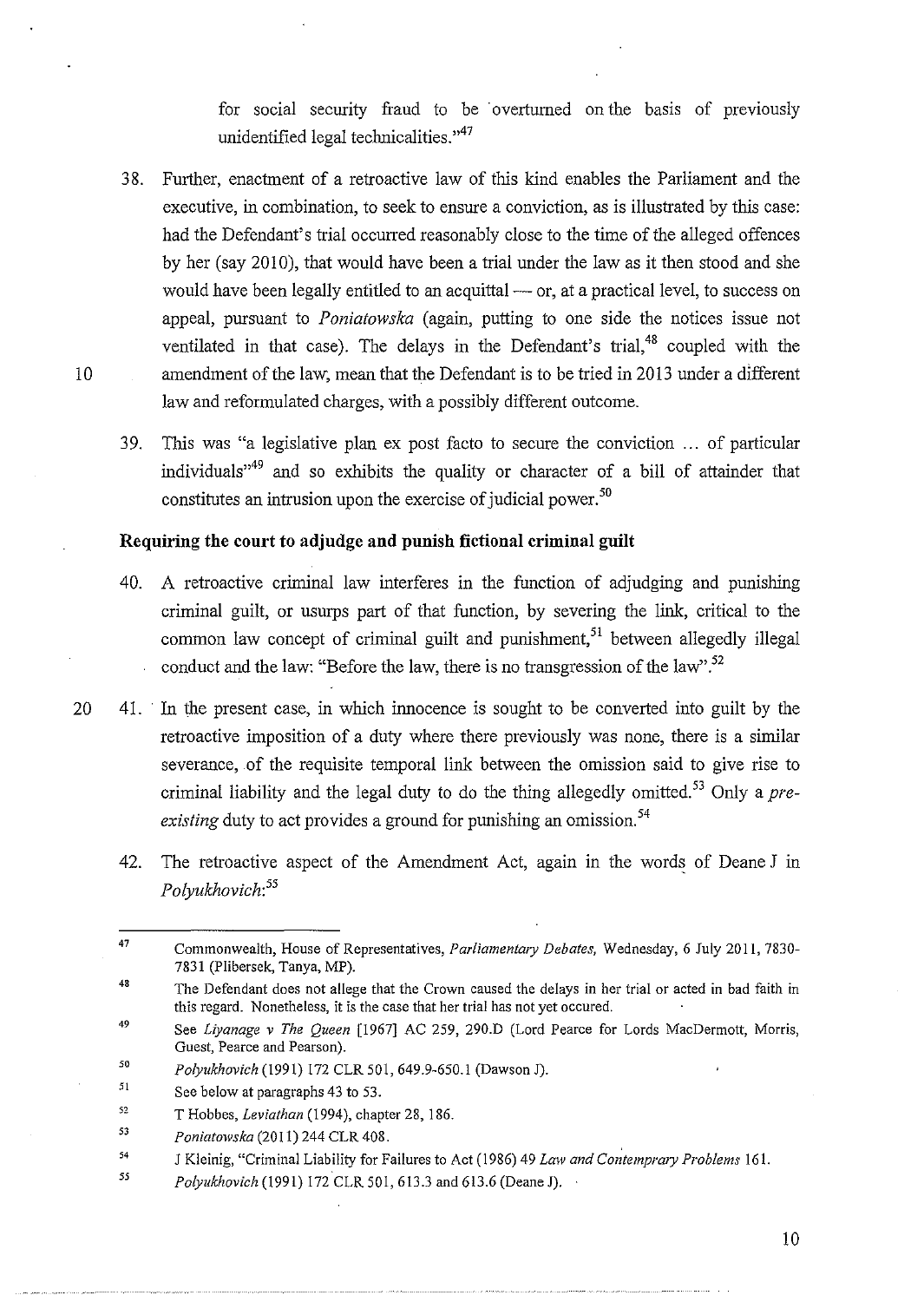for social security fraud to be overturned on the basis of previously unidentified legal technicalities."<sup>47</sup>

- 38. Further, enactment of a retroactive law of this kind enables the Parliament and the executive, in combination, to seek to ensure a conviction, as is illustrated by this case: had the Defendant's trial occurred reasonably close to the time of the alleged offences by her (say 2010), that would have been a trial under the law as it then stood and she would have been legally entitled to an acquittal — or, at a practical level, to success on appeal, pursuant to *Poniatowska* (again, putting to one side the notices issue not ventilated in that case). The delays in the Defendant's trial,  $48$  coupled with the 10 amendment of the law, mean that the Defendant is to be tried in 2013 under a different law and reformulated charges, with a possibly different outcome.
	- 39. This was "a legislative plan ex post facto to secure the conviction ... of particular individuals"49 and so exhibits the quality or character of a bill of attainder that constitutes an intrusion upon the exercise of judicial power. 50

## **Requiring the court to adjudge and punish fictional criminal guilt**

- 40. A retroactive criminal law interferes in the function of adjudging and punishing criminal guilt, or usurps part of that function, by severing the link, critical to the common law concept of criminal guilt and punishment,<sup>51</sup> between allegedly illegal conduct and the law: "Before the law, there is no transgression of the law".<sup>52</sup>
- 20 41. In the present case, in which innocence is sought to be converted into guilt by the retroactive imposition of a duty where there previously was none, there is a similar severance, .of the requisite temporal link between the omission said to give rise to criminal liability and the legal duty to do the thing allegedly omitted. 53 Only a *preexisting* duty to act provides a ground for punishing an omission.<sup>54</sup>
	- 42. The retroactive aspect of the Amendment Act, again in the words of Deane J in *Polyukhovich:<sup>55</sup>*

<sup>47</sup>  Commonwealth, House of Representatives, *Parliamentary Debates,* Wednesday, 6 July 2011, 7830- 7831 (Plibersek, Tanya, MP).

<sup>48</sup>  The Defendant does not allege that the Crown caused the delays in her trial or acted in bad faith in this regard. Nonetheless, it is the case that her trial has not yet occured.

<sup>49</sup>  See *Liyanage v The Queen* [1967] AC 259, 290.D (Lord Pearce for Lords MacDermott, Morris, Guest, Pearce and Pearson).

<sup>50</sup>  *Polyukhovich* (1991) 172 CLR 501,649.9-650.1 (Dawson J).

<sup>51</sup>  See below at paragraphs 43 to 53.

<sup>52</sup>  T Hobbes, *Leviathan* (1994), chapter 28, 186.

<sup>53</sup>  *Poniatowska* (2011) 244 CLR 408.

<sup>54</sup>  *J Kleinig, "Criminal Liability for Failures to Act (1986) 49 <i>Law and Contemprary Problems* 161.

*<sup>55</sup>  Polyukhovich* (1991) 172 CLR 501,613.3 and 613.6 (Deane J).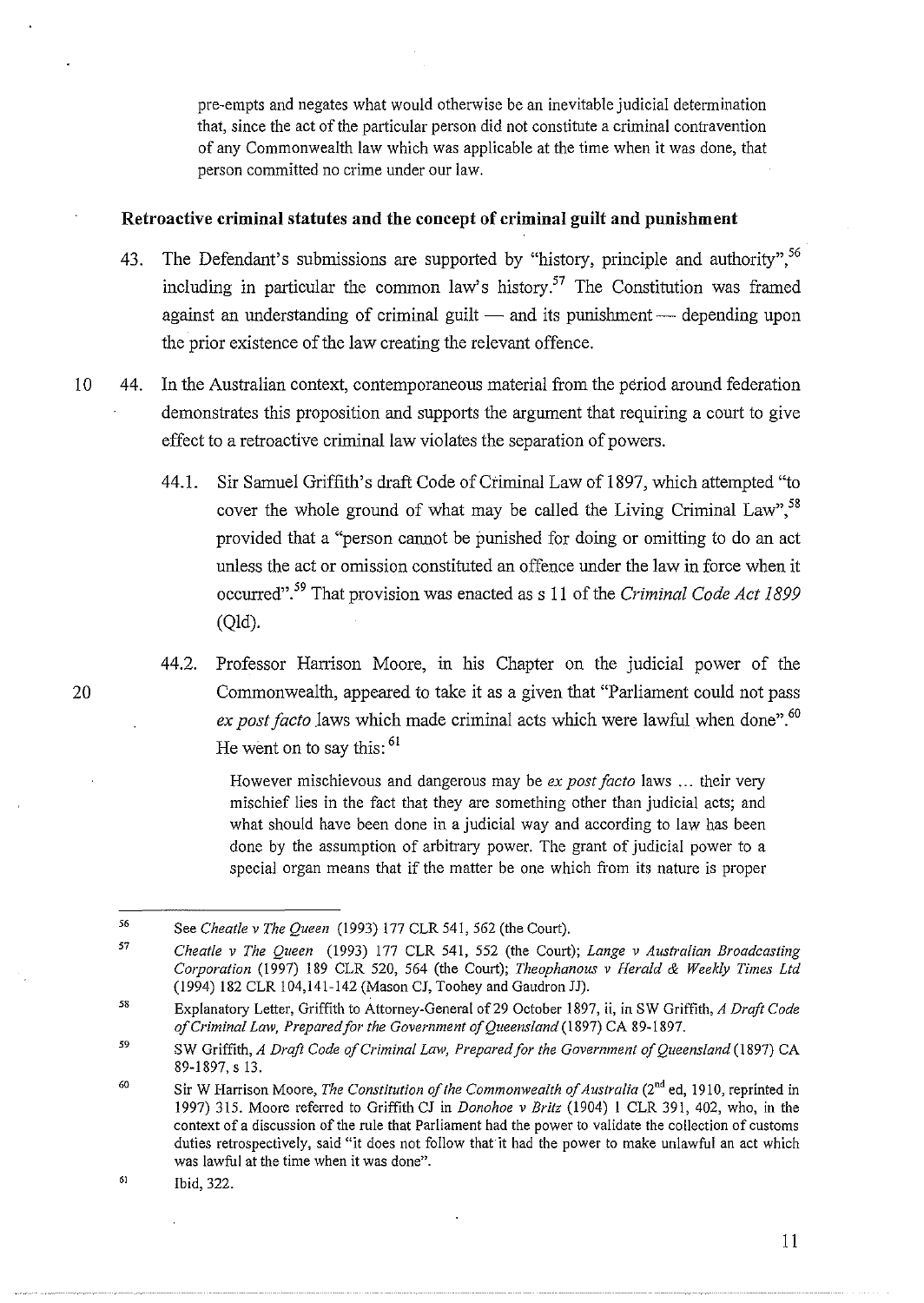pre-empts and negates what would otherwise be an inevitable judicial determination that, since the act of the particular person did not constitute a criminal contravention of any Commonwealth law which was applicable at the time when it was done, that person committed no crime under our law.

### **Retroactive criminal statutes and the concept of criminal guilt and punishment**

- 43. The Defendant's submissions are supported by "history, principle and authority", <sup>56</sup> including in particular the common law's history.<sup>57</sup> The Constitution was framed against an understanding of criminal guilt  $-$  and its punishment  $-$  depending upon the prior existence of the law creating the relevant offence.
- 10 44. In the Australian context, contemporaneous material from the period around federation demonstrates this proposition and supports the argument that requiring a court to give effect to a retroactive criminal law violates the separation of powers.
	- 44.1. Sir Samuel Griffith's draft Code of Criminal Law of 1897, which attempted "to cover the whole ground of what may be called the Living Criminal Law",  $^{58}$ provided that a "person cannot be punished for doing or omitting to do an act unless the act or omission constituted an offence under the law in force when it occurred".59 That provision was enacted ass 11 of the *Criminal Code Act 1899*  (Qld).
- 44.2. Professor Harrison Moore, in his Chapter on the judicial power of the 20 Commonwealth, appeared to take it as a given that "Parliament could not pass *ex post facto* laws which made criminal acts which were lawful when done".<sup>60</sup> He went on to say this:  $61$

However mischievous and dangerous may be *ex post facto* laws ... their very mischief lies in the fact that they are something other than judicial acts; and what should have been done in a judicial way and according to law has been done by the assumption of arbitrary power. The grant of judicial power to a special organ means that if the matter be one which from its nature is proper

<sup>56</sup>  See *Cheatle v The Queen* (1993) 177 CLR 541, 562 (the Court).

<sup>57</sup>  *Cheatle v The Queen* (1993) 177 CLR 541, 552 (the Court); *Lange v Australian Broadcasting Corporation* (1997) 189 CLR 520, 564 (the Court); *Theophanous v Herald* & *Weekly Times Ltd*  (1994) 182 CLR 104,141-142 (Mason CJ, Toohey and Gaudron JJ).

<sup>58</sup>  Explanatory Letter, Griffith to Attorney-General of29 October 1897, ii, in SW Griffith, *A Draft Code of Criminal Law, Prepared for the Government of Queensland* (1897) CA 89-1897.

<sup>59</sup>  SW Griffith, *A Draft Code of Criminal Law, Prepared for the Government of Queensland* (1897) CA 89-1897,s 13.

<sup>60</sup>  Sir W Harrison Moore, *The Constitution of the Commonwealth of Australia* (2<sup>nd</sup> ed, 1910, reprinted in 1997) 315. Moore referred to Griffith CJ in *Donohoe v Britz* (1904) 1 CLR 391, 402, who, in the context of a discussion of the rule that Parliament had the power to validate the collection of customs duties retrospectively, said "it does not follow that it had the power to make unlawful an act which was lawful at the time when it was done".

<sup>61</sup>  Ibid, 322.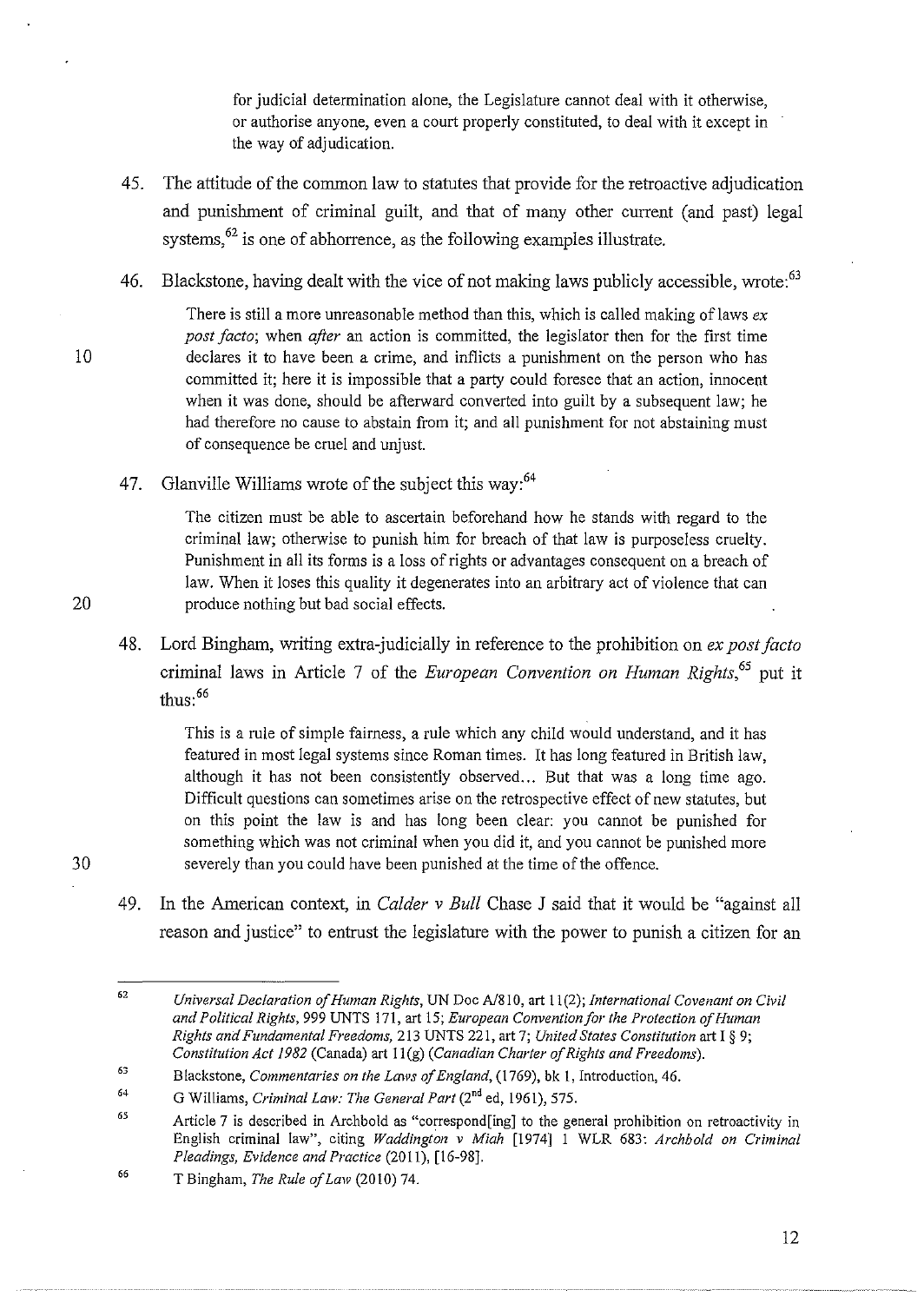for judicial determination alone, the Legislature cannot deal with it otherwise, or authorise anyone, even a court properly constituted, to deal with it except in the way of adjudication.

- 45. The attitude of the common law to statutes that provide for the retroactive adjudication and punishment of criminal guilt, and that of many other current (and past) legal systems, <sup>62</sup> is one of abhorrence, as the following examples illustrate.
- 46. Blackstone, having dealt with the vice of not making laws publicly accessible, wrote:<sup>63</sup>

There is still a more unreasonable method than this, which is called making of laws *ex post facto;* when *after* an action is committed, the legislator then for the first time 10 declares it to have been a crime, and inflicts a punishment on the person who has committed it; here it is impossible that a party could foresee that an action, innocent when it was done, should be afterward converted into guilt by a subsequent law; he had therefore no cause to abstain from it; and all punishment for not abstaining must of consequence be cruel and unjust.

47. Glanville Williams wrote of the subject this way:<sup>64</sup>

The citizen must be able to ascertain beforehand how he stands with regard to the criminal law; otherwise to punish him for breach of that law is purposeless cruelty. Punishment in all its forms is a loss of rights or advantages consequent on a breach of law. When it loses this quality it degenerates into an arbitrary act of violence that can 20 produce nothing but bad social effects.

48. Lord Bingham, writing extra-judicially in reference to the prohibition on *ex post facto*  criminal laws in Article 7 of the *European Convention on Human Rights*,<sup>65</sup> put it thus: <sup>66</sup>

This is a rule of simple fairness, a rule which any child would understand, and it has featured in most legal systems since Roman times. It has long featured in British law, although it has not been consistently observed... But that was a long time ago. Difficult questions can sometimes arise on the retrospective effect of new statutes, but on this point the law is and has long been clear: you cannot be punished for something which was not criminal when you did it, and you cannot be punished more 30 severely than you could have been punished at the time of the offence.

49. In the American context, in *Calder v Bull* Chase J said that it would be "against all reason and justice" to entrust the legislature with the power to punish a citizen for an

<sup>62</sup>  *Universal Declaration of Human Rights,* UN *Doc* A/810, art 11(2); *International Covenant on Civil and Political Rights,* 999 UNTS 171, art 15; *European Convention for the Protection of Human Rights and Fundamental Freedoms,* 2!3 UNTS 221, art 7; *United States Constitution* art I§ 9; *Constitution Act 1982* (Canada) art II (g) *(Canadian Charter of Rights and Freedoms).* 

<sup>63</sup>  Blackstone, *Commentaries on the Laws of England,* (1769), bk I, Introduction, 46.

<sup>64</sup>  G Williams, *Criminal Law: The General Part* (2"d ed, 1961), 575.

<sup>65</sup>  Article 7 is described in Archbold as "correspond[ing] to the general prohibition on retroactivity in English criminal law", citing *Waddington v Miah* [1974] I WLR 683: *Archbold on Criminal Pleadings, Evidence and Practice* (2011), [16-98].

<sup>66</sup>  T Bingham, *The Rule of Law* (2010) 74.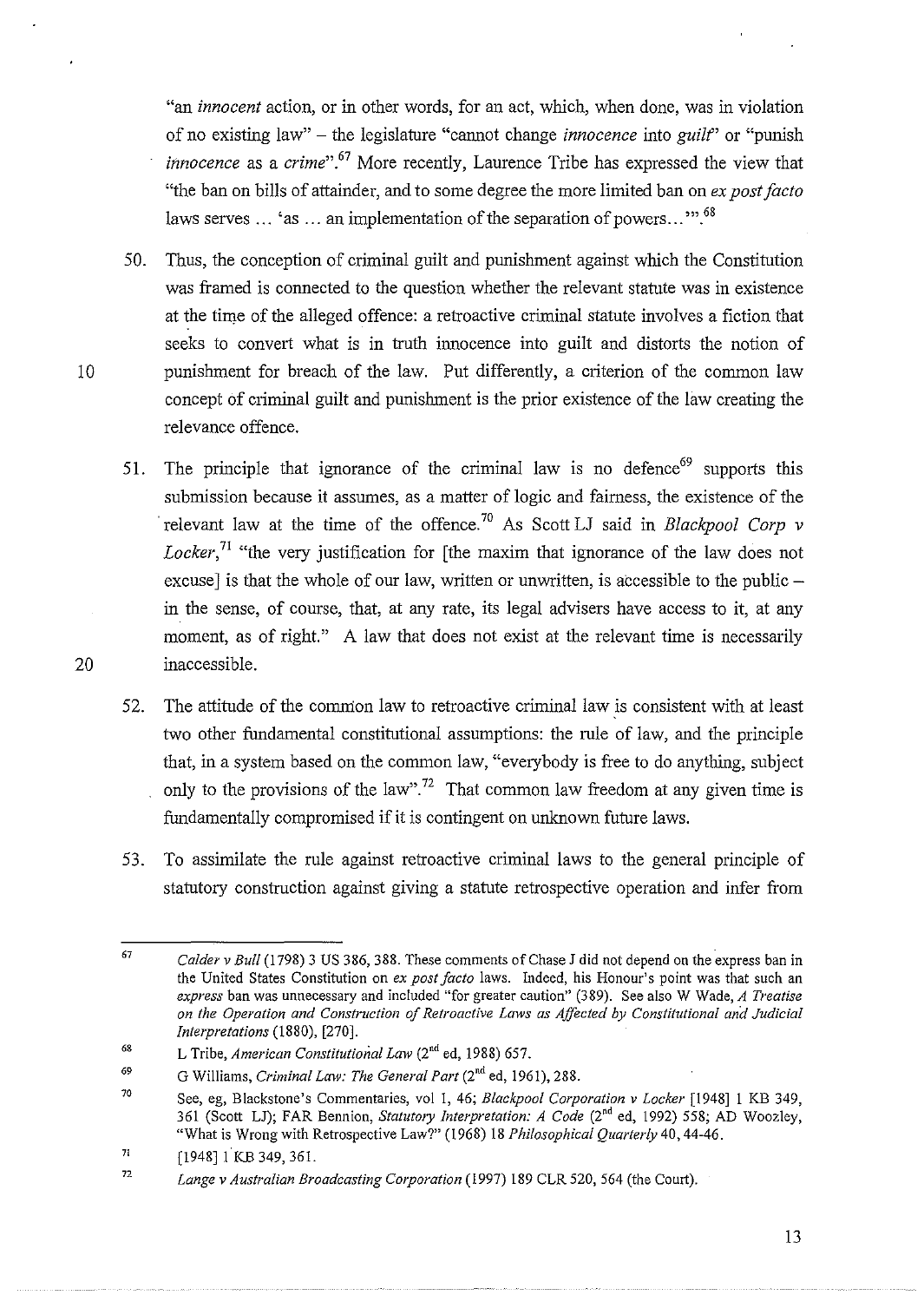"an *innocent* action, or in other words, for an act, which, when done, was in violation of no existing law" - the legislature "cannot change *innocence* into *guilt'* or "punish *innocence* as a *crime*".<sup>67</sup> More recently, Laurence Tribe has expressed the view that "the ban on bills of attainder, and to some degree the more limited ban on *ex post facto*  laws serves  $\ldots$  'as  $\ldots$  an implementation of the separation of powers...".<sup>68</sup>

- 50. Thus, the conception of criminal guilt and punishment against which the Constitution was framed is connected to the question whether the relevant statute was in existence at the time of the alleged offence: a retroactive criminal statute involves a fiction that seeks to convert what is in truth innocence into guilt and distorts the notion of 10 punishment for breach of the law. Put differently, a criterion of the common law concept of criminal guilt and punishment is the prior existence of the law creating the relevance offence.
- 51. The principle that ignorance of the criminal law is no defence<sup>69</sup> supports this submission because it assumes, as a matter of logic and fairness, the existence of the · relevant law at the time of the offence. 70 As Scott LJ said in *Blackpool Corp v Locker*,<sup>71</sup> "the very justification for [the maxim that ignorance of the law does not excuse] is that the whole of our law, written or unwritten, is accessible to the public  $$ in the sense, of course, that, at any rate, its legal advisers have access to it, at any moment, as of right." A law that does not exist at the relevant time is necessarily 20 inaccessible.
	- 52. The attitude of the common law to retroactive criminal law is consistent with at least two other fundamental constitutional assumptions: the rule of law, and the principle that, in a system based on the common law, "everybody is free to do anything, subject only to the provisions of the law".<sup>72</sup> That common law freedom at any given time is fundamentally compromised if it is contingent on unknown future laws.
	- 53. To assimilate the rule against retroactive criminal laws to the general principle of statutory construction against giving a statute retrospective operation and infer from

<sup>67</sup>  *Calder v Bull* (1798) 3 US 386, 388. These comments of Chase J did not depend on the express ban in the United States Constitution on *ex post facto* laws. Indeed, his Honour's point was that such an *express* **ban was unnecessary and included "for greater caution" (389). See also W Wade,** *A Treatise on the Operation and Construction of Retroactive Laws as Affected by Constitutional and Judicial Interpretations* (1880), [270].

<sup>6&</sup>amp; L Tribe, *American Constitutional Law* (2"d ed, 1988) 657.

<sup>69</sup>  G Williams, *Criminal Law: The General Part* (2<sup>nd</sup> ed, 1961), 288.

<sup>70</sup>  See, eg, Blackstone's Commentaries, vol 1, 46; *Blackpool Corporation v Locker* [1948] 1 KB 349, 361 (Scott LJ); FAR Bennion, *Statutory Interpretation: A Code* (2"d ed, 1992) 558; AD Woozley, "What is Wrong with Retrospective Law?" (1968) 18 *Philosophical Quarterly* 40,44-46.

<sup>71</sup>  [1948]1 KB 349, 361.

<sup>72</sup>  Lange v Australian Broadcasting Corporation (1997) 189 CLR 520, 564 (the Court).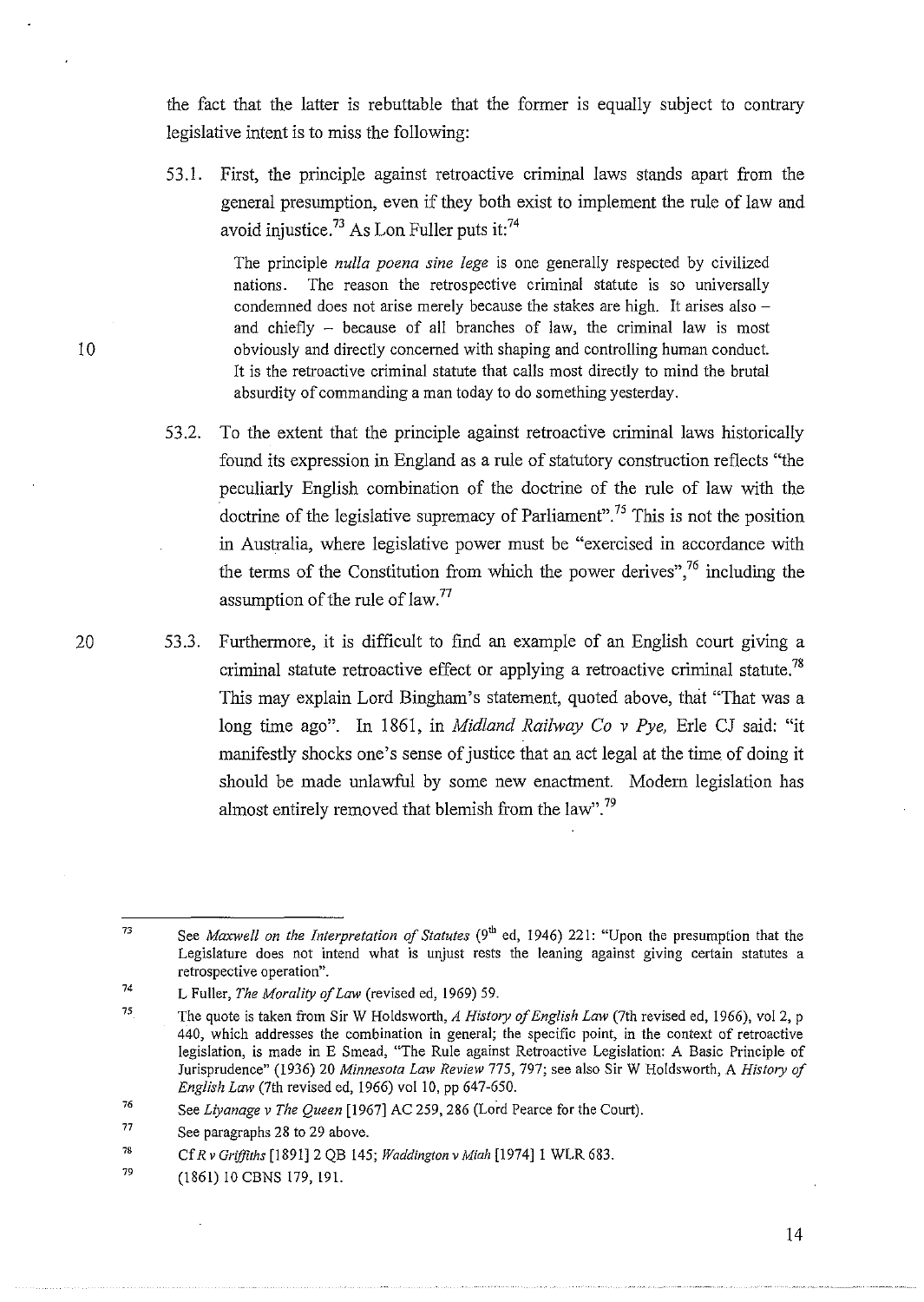the fact that the latter is rebuttable that the former is equally subject to contrary legislative intent is to miss the following:

53.1. First, the principle against retroactive criminal laws stands apart from the general presumption, even if they both exist to implement the rule of law and avoid injustice.<sup>73</sup> As Lon Fuller puts it: $74$ 

The principle *nulla poena sine lege* is one generally respected by civilized nations. The reason the retrospective criminal statute is so universally condemned does not arise merely because the stakes are high. It arises also  $$ and chiefly - because of all branches of law, the criminal law is most I 0 obviously and directly concerned with shaping and controlling human conduct. It is the retroactive criminal statute that calls most directly to mind the brutal absurdity of commanding a man today to do something yesterday.

- 53.2. To the extent that the principle against retroactive criminal laws historically found its expression in England as a rule of statutory construction reflects "the peculiarly English combination of the doctrine of the rule of law with the doctrine of the legislative supremacy of Parliament".<sup>75</sup> This is not the position in Australia, where legislative power must be "exercised in accordance with the terms of the Constitution from which the power derives",<sup>76</sup> including the assumption of the rule of law. $77$
- 20 53.3. Furthermore, it is difficult to find an example of an English court giving a criminal statute retroactive effect or applying a retroactive criminal statute.<sup>78</sup> This may explain Lord Bingham's statement, quoted above, that "That was a long time ago". In 1861, in *Midland Railway Co v Pye,* Erie CJ said: "it manifestly shocks one's sense of justice that an act legal at the time of doing it should be made unlawful by some new enactment. Modem legislation has almost entirely removed that blemish from the law".<sup>79</sup>

79 (1861) 10 CBNS 179, 191.

<sup>73</sup>  See *Maxwell on the Interpretation of Statutes* (9<sup>th</sup> ed, 1946) 221: "Upon the presumption that the **Legislature does not intend what is unjust rests the leaning against giving certain statutes a retrospective operation".** 

<sup>74</sup>  L Fuller, *The Morality of Law* (revised ed, 1969) 59.

<sup>75</sup>  The quote is taken from Sir W Holdsworth, *A History of English Law* (7th revised ed, 1966), vol2, p 440, which addresses the combination in general; the specific point, in the context of retroactive legislation, is made in E Smead, "The Rule against Retroactive Legislation: A Basic Principle of Jurisprudence" (1936) 20 *Minnesota Law Review* 775, 797; see also Sir W Holdsworth, A *History of English Law* (7th revised ed, 1966) val 10, pp 647-650.

<sup>76</sup>  See *Liyanage v The Queen* [1967] AC 259, 286 (Lord Pearce for the Court).

<sup>77</sup>  See paragraphs 28 to 29 above.

<sup>78</sup>  Cf *R* v *Griffiths* [1891] 2 QB 145; *Waddington* v *Miah* [1974]1 WLR 683.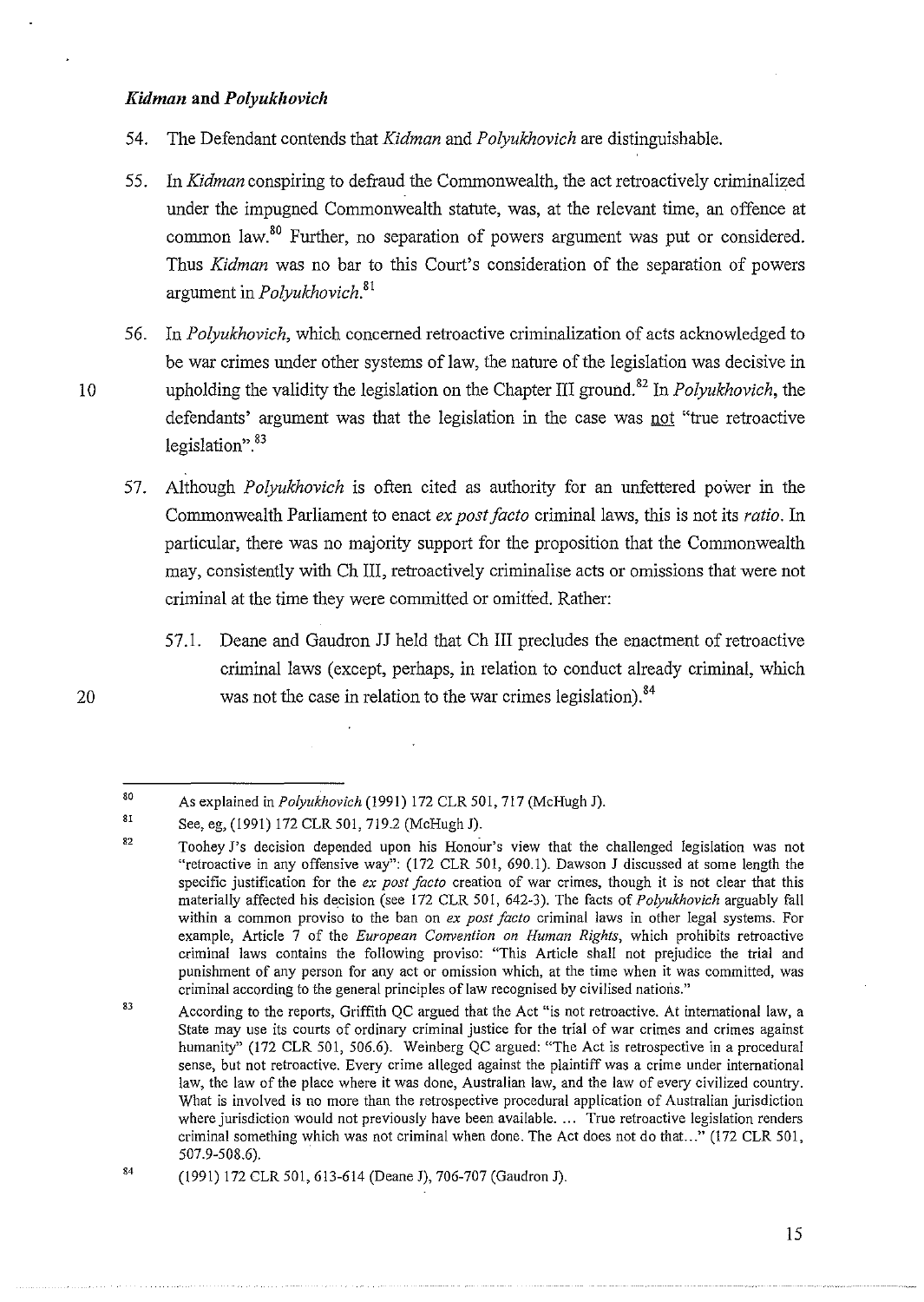## $K$ *idman* and  $Polyukhovich$

- 54. The Defendant contends that *Kidman* and *Polyukhovich* are distinguishable.
- 55. In *Kidman* conspiring to defraud the Commonwealth, the act retroactively criminalized under the impugned Commonwealth statute, was, at the relevant time, an offence at common Iaw.<sup>8</sup> ° Further, no separation of powers argument was put or considered. Thus *Kidman* was no bar to this Court's consideration of the separation of powers argument in *Polyukhovich.<sup>81</sup>*
- 56. In *Polyukhovich,* which concerned retroactive criminalization of acts acknowledged to be war crimes under other systems of law, the nature of the legislation was decisive in 10 upholding the validity the legislation on the Chapter III ground.82 In *Polyukhovich,* the defendants' argument was that the legislation in the case was not "true retroactive legislation". 83
	- 57. Although *Polyukhovich* is often cited as authority for an unfettered power in the Commonwealth Parliament to enact *ex post facto* criminal laws, this is not its *ratio.* In particular, there was no majority support for the proposition that the Commonwealth may, consistently with Ch III, retroactively criminalise acts or omissions that were not criminal at the time they were committed or omitted. Rather:
		- 57.1. Deane and Gaudron JJ held that Ch III precludes the enactment of retroactive criminal laws (except, perhaps, in relation to conduct already criminal, which was not the case in relation to the war crimes legislation).<sup>84</sup>

<sup>80</sup>  As explained in *Polyukhovich* (1991) 172 CLR 501, 717 (McHugh J).

<sup>81</sup>  See, eg, (1991) 172 CLR 501, 719.2 (McHugh J).

<sup>82</sup>  Toohey J's decision depended upon his Honour's view that the challenged legislation was not "retroactive in any offensive way": (172 CLR 501, 690.1). Dawson J discussed at some length the specific justification for the *ex post facto* creation of war crimes, though it is not clear that this materially affected his decision (see 172 CLR 501, 642-3). The facts of *Po/yukhovich* arguably fall within a common proviso to the ban on *ex post facto* criminal laws in other legal systems. For example, Article 7 of the *European Convention on Human Rights,* which prohibits retroactive criminal laws contains the following proviso: "This Article shall not prejudice the trial and **punishment of any person for any act or omission which, at the time when it was committed, was**  criminal according to the general principles of law recognised by civilised nations."

<sup>83</sup>  According to the reports, Griffith QC argued that the Act "is not retroactive. At international law, a **State may use its courts of ordinary criminal justice for the trial of war crimes and crimes against**  humanity" (172 CLR 501, 506.6). Weinberg QC argued: "The Act is retrospective in a procedural **sense, but not retroactive. Every crime alleged against the plaintiff was a crime under international**  law, the law of the place where it was done, Australian law, and the law of every civilized country. What is involved is no more than the retrospective procedural application of Australian jurisdiction where jurisdiction would not previously have been available .... True retroactive legislation renders criminal something which was not criminal when done. The Act does not do that..." (172 CLR 501, 507.9-508.6).

<sup>84</sup>  (1991) 172 CLR 501, 613-614 (Deane J), 706-707 (Gaudron J).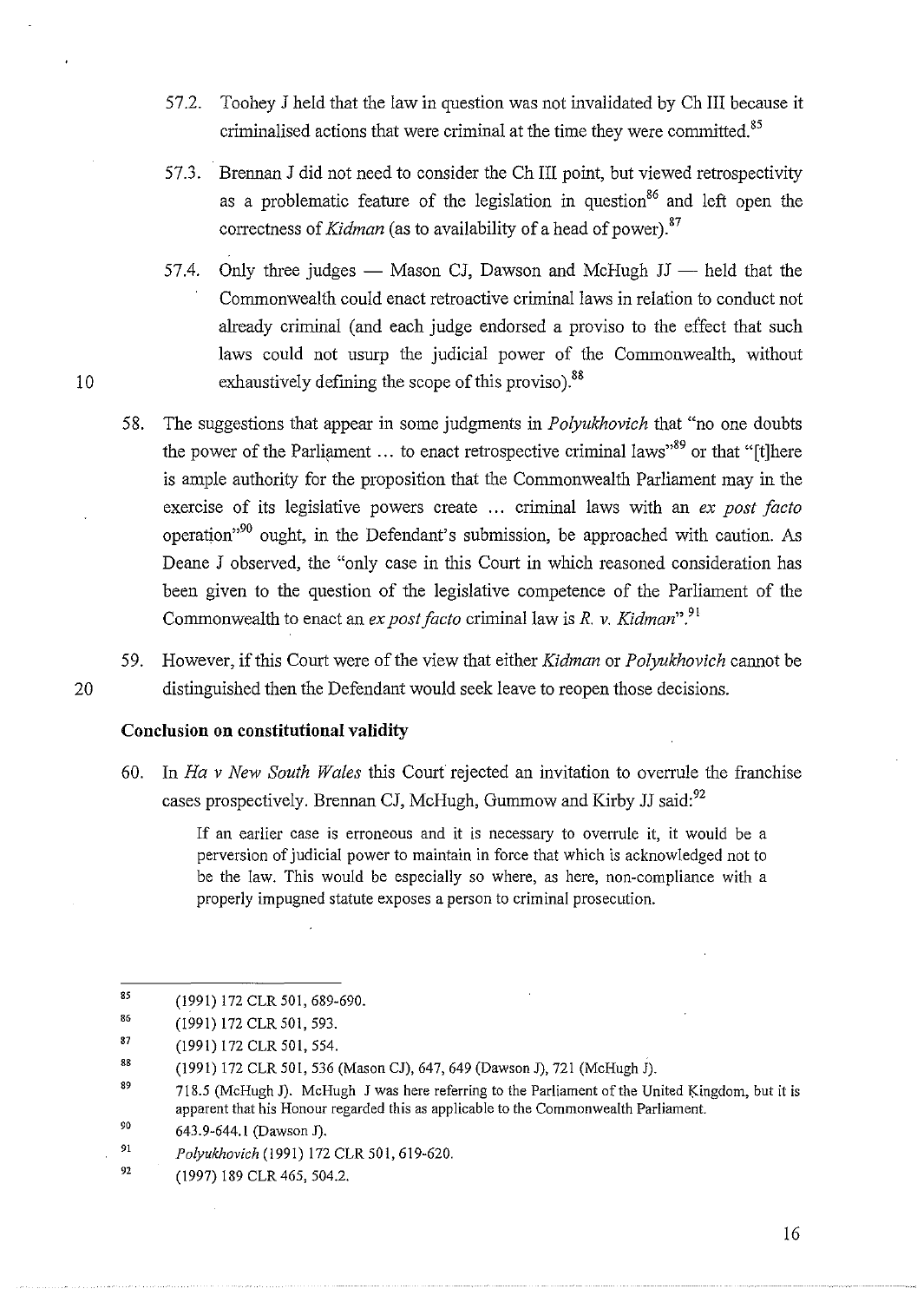- 57.2. Toohey J held that the law in question was not invalidated by Ch III because it criminalised actions that were criminal at the time they were committed.<sup>85</sup>
- 57.3. Brennan J did not need to consider the Ch III point, but viewed retrospectivity as a problematic feature of the legislation in question<sup>86</sup> and left open the correctness of *Kidman* (as to availability of a head of power).<sup>87</sup>
- 57.4. Only three judges Mason CJ, Dawson and McHugh JJ held that the Commonwealth could enact retroactive criminal laws in relation to conduct not already criminal (and each judge endorsed a proviso to the effect that such laws could not usurp the judicial power of the Commonwealth, without exhaustively defining the scope of this proviso).<sup>88</sup>
- 58. The suggestions that appear in some judgments in *Polyukhovich* that "no one doubts the power of the Parliament ... to enact retrospective criminal laws"<sup>89</sup> or that "[t]here is ample authority for the proposition that the Commonwealth Parliament may in the exercise of its legislative powers create ... criminal laws with an *ex post facto* operation"90 ought, in the Defendant's submission, be approached with caution. As Deane J observed, the "only case in this Court in which reasoned consideration has been given to the question of the legislative competence of the Parliament of the Commonwealth to enact an *ex post facto* criminal law is *R. v. Kidman". <sup>91</sup>*
- 59. However, if this Court were of the view that either *Kidman* or *Polyukhovich* cannot be 20 distinguished then the Defendant would seek leave to reopen those decisions.

# **Conclusion on constitutional validity**

10

60. In *Ha v New South Wales* this Court rejected an invitation to ovenule the franchise cases prospectively. Brennan CJ, McHugh, Gummow and Kirby JJ said:<sup>92</sup>

> If an earlier case is erroneous and it is necessary to overrule it, it would be a perversion of judicial power to maintain in force that which is acknowledged not to be the law. This would be especially so where, as here, non-compliance with a properly impugned statute exposes a person to criminal prosecution.

<sup>85</sup>  (1991) 172 CLR 501, 689-690.

<sup>86</sup>  (1991) 172 CLR 501,593.

<sup>87</sup>  (1991) 172 CLR 501, 554.

<sup>88</sup>  (1991) 172 CLR 501,536 (Mason CJ), 647,649 (Dawson J), 721 (McHugh J).

<sup>89</sup> 718.5 (McHugh J). McHugh J was here referring to the Parliament of the United Kingdom, but it is apparent that his Honour regarded this as applicable to the Commonwealth Parliament.

<sup>90</sup>  643.9-644.1 (Dawson J).

<sup>91</sup>  *Polyukhovich* (1991) 172 CLR 501,619-620.

<sup>92</sup>  (1997) 189 CLR465, 504.2.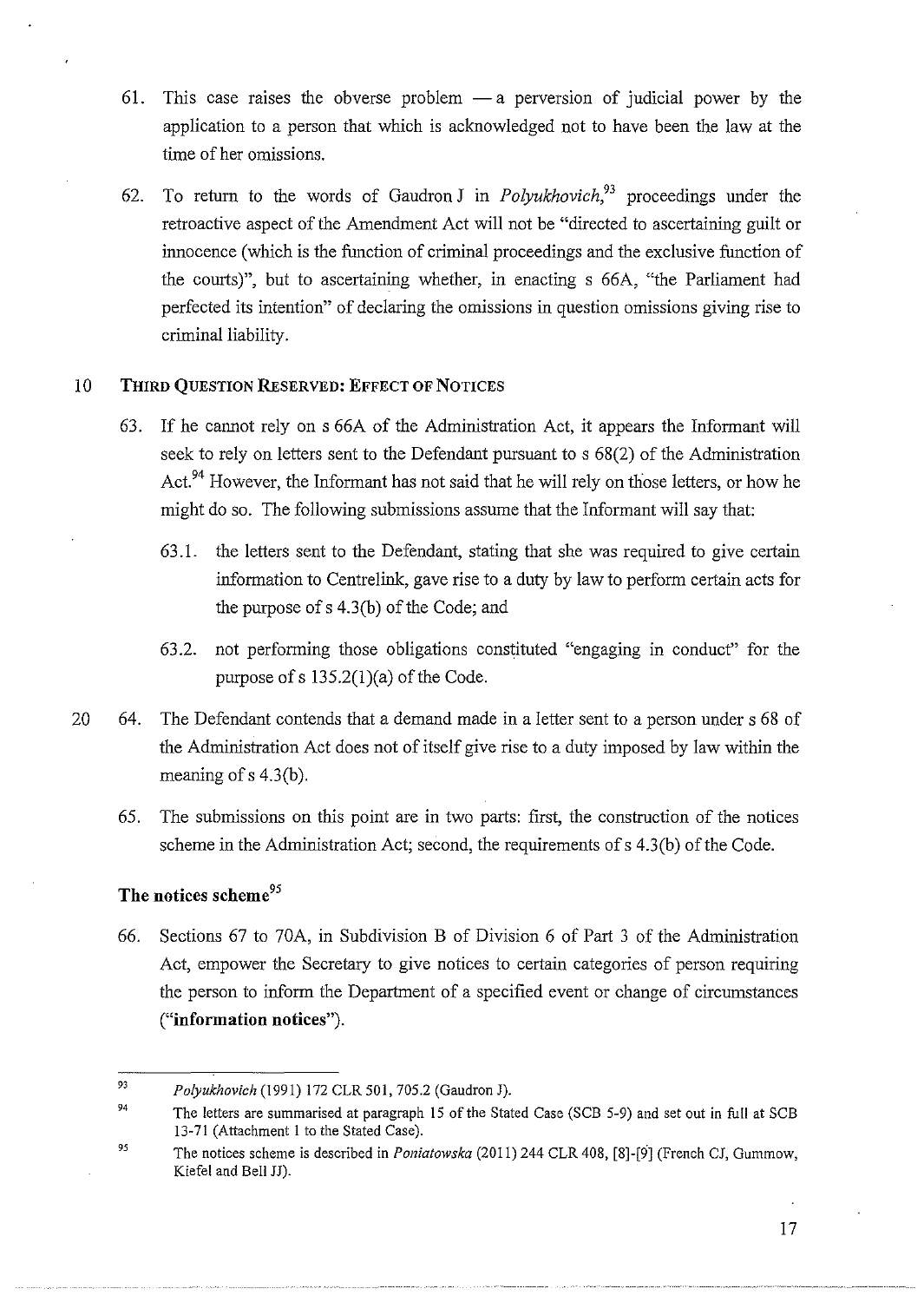- 61. This case raises the obverse problem  $-a$  perversion of judicial power by the application to a person that which is acknowledged not to have been the law at the time of her omissions.
- 62. To return to the words of Gaudron *J* in *Polyukhovich*<sup>93</sup> proceedings under the retroactive aspect of the Amendment Act will not be "directed to ascertaining guilt or innocence (which is the function of criminal proceedings and the exclusive function of the courts)", but to ascertaining whether, in enacting s 66A, "the Parliament had perfected its intention" of declaring the omissions in question omissions giving rise to criminal liability.

## **10 THIRD QUESTION RESERVED: EFFECT OF NOTICES**

- 63. If he cannot rely on s 66A of the Administration Act, it appears the Informant will seek to rely on letters sent to the Defendant pursuant to s 68(2) of the Administration Act.<sup>94</sup> However, the Informant has not said that he will rely on those letters, or how he might do so. The following submissions assume that the Informant will say that:
	- 63 .1. the letters sent to the Defendant, stating that she was required to give certain information to Centrelink, gave rise to a duty by law to perform certain acts for the purpose of  $s$  4.3(b) of the Code; and
	- 63.2. not performing those obligations constituted "engaging in conduct" for the purpose of  $s$  135.2(1)(a) of the Code.
- 20 64. The Defendant contends that a demand made in a letter sent to a person under s 68 of the Administration Act does not of itself give rise to a duty imposed by law within the meaning of s 4.3(b).
	- 65. The submissions on this point are **in** two parts: first, the construction of the notices scheme in the Administration Act; second, the requirements of s 4.3(b) of the Code.

# **The notices scheme<sup>95</sup>**

66. Sections 67 to 70A, in Subdivision B of Division 6 of Part 3 of the Administration Act, empower the Secretary to give notices to certain categories of person requiring the person to inform the Department of a specified event or change of circumstances **("information notices").** 

<sup>93</sup>  *Polyukhovich* (1991) 172 CLR 501, 705.2 (Gaudron J).

<sup>94</sup>  The letters are summarised at paragraph 15 of the Stated Case (SCB 5-9) and set out in full at SCB 13-71 (Attachment 1 to the Stated Case).

*<sup>95</sup>*  The notices scheme is described in *Poniatowska* (2011) 244 CLR 408, [8]-[9] (French CJ, Gummow, Kiefel and Bell JJ).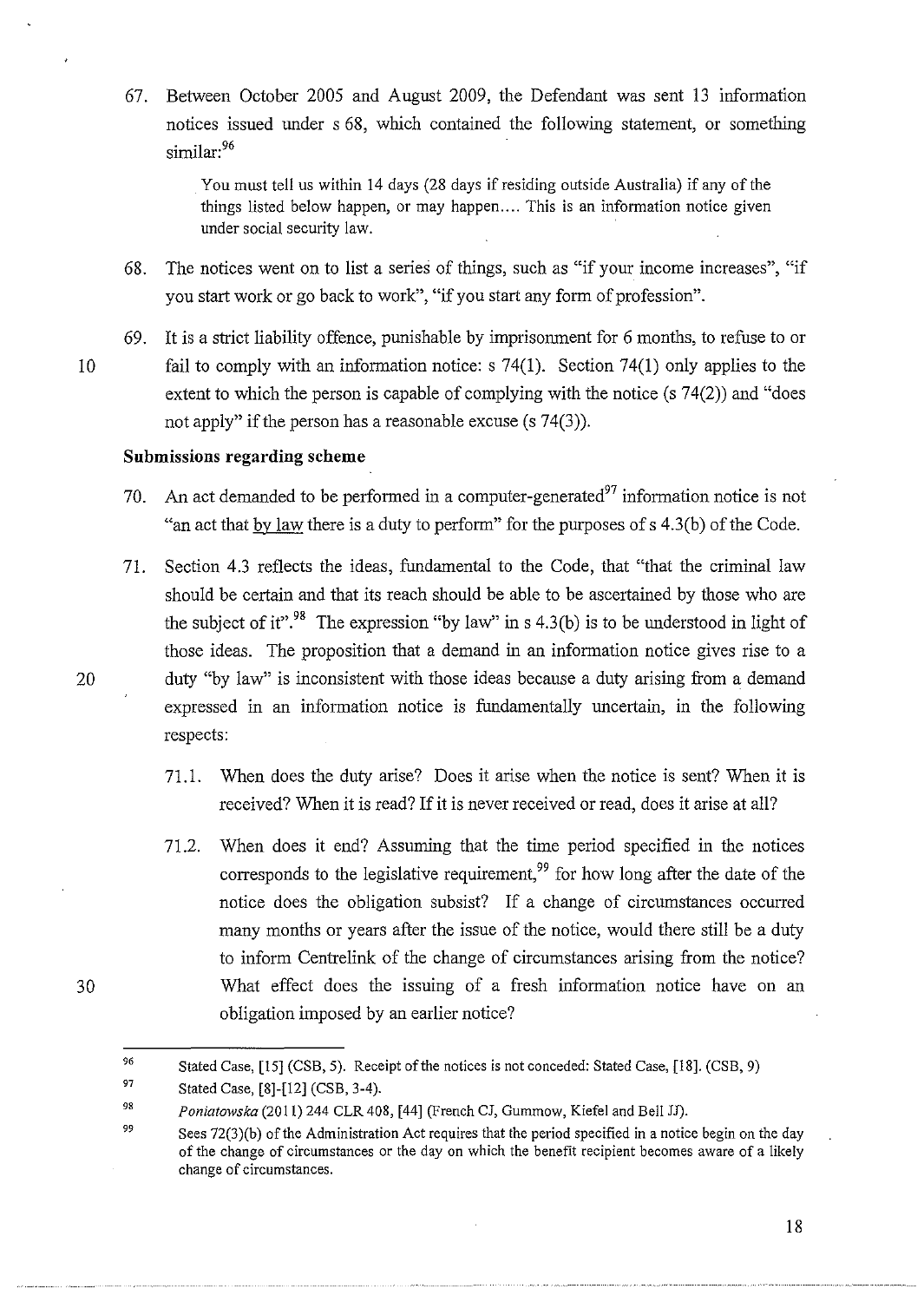67. Between October 2005 and August 2009, the Defendant was sent 13 information notices issued under s 68, which contained the following statement, or something similar:<sup>96</sup>

> You must tell us within 14 days (28 days if residing outside Australia) if any of the things listed below happen, or may happen.... This is an information notice given under social security law.

- 68. The notices went on to list a series of things, such as "if your income increases", "if you start work or go back to work", "if you start any form of profession".
- 69. It is a strict liability offence, punishable by imprisonment for 6 months, to refuse to or 10 fail to comply with an information notice: s 74(1). Section 74(1) only applies to the extent to which the person is capable of complying with the notice (s 74(2)) and "does not apply" if the person has a reasonable excuse (s 74(3)).

## **Submissions regarding scheme**

- 70. An act demanded to be performed in a computer-generated<sup>97</sup> information notice is not "an act that by law there is a duty to perform" for the purposes of s 4.3(b) of the Code.
- 71. Section 4.3 reflects the ideas, fundamental to the Code, that "that the criminal law should be certain and that its reach should be able to be ascertained by those who are the subject of it".<sup>98</sup> The expression "by law" in s 4.3(b) is to be understood in light of those ideas. The proposition that a demand in an information notice gives rise to a 20 duty "by law" is inconsistent with those ideas because a duty arising from a demand expressed in an information notice is fundamentally uncertain, in the following respects:
	- 71.1. When does the duty arise? Does it arise when the notice is sent? When it is received? When it is read? If it is never received or read, does it arise at all?
	- 71.2. When does it end? Assuming that the time period specified in the notices corresponds to the legislative requirement,<sup>99</sup> for how long after the date of the notice does the obligation subsist? If a change of circumstances occurred many months or years after the issue of the notice, would there still be a duty to inform Centrelink of the change of circumstances arising from the notice? What effect does the issuing of a fresh information notice have on an obligation imposed by an earlier notice?

30

<sup>96</sup>  Stated Case, [15] (CSB, 5). Receipt of the notices is not conceded: Stated Case, [18]. (CSB, 9)

<sup>97</sup>  Stated Case, [8]-[12] (CSB, 3-4).

<sup>98</sup>  *Poniatowska* {2011) 244 CLR 408, [44] (French CJ, Gummow, Kiefel and Bell JJ).

<sup>99</sup>  Sees  $72(3)(b)$  of the Administration Act requires that the period specified in a notice begin on the day of the change of circumstances or the day on which the benefit recipient becomes aware of a likely **change of circumstances.**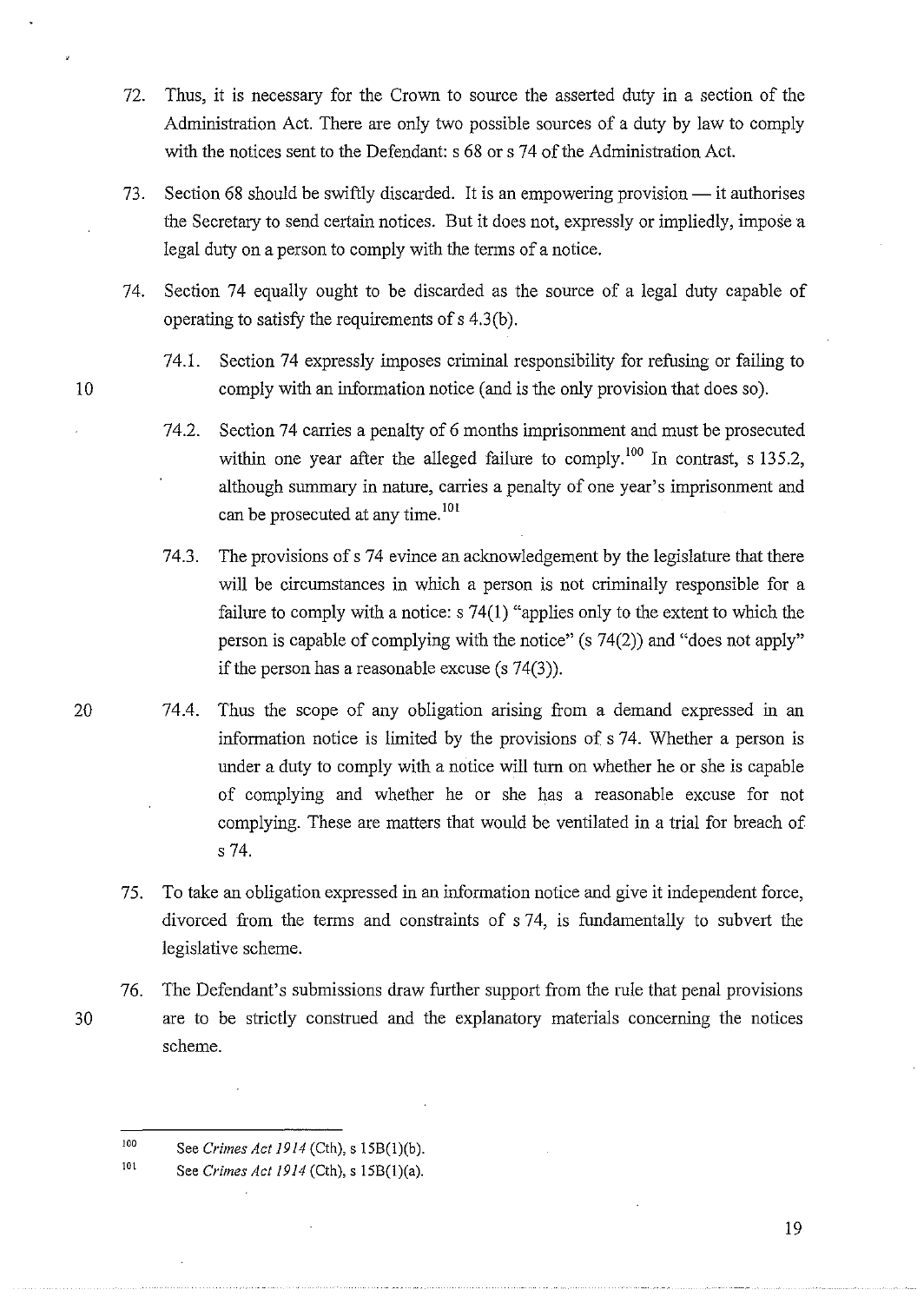- 72. Thus, it is necessary for the Crown to source the asserted duty in a section of the Administration Act. There are only two possible sources of a duty by law to comply with the notices sent to the Defendant: s 68 or s 74 of the Administration Act.
- 73. Section 68 should be swiftly discarded. It is an empowering provision it authorises the Secretary to send certain notices. But it does not, expressly or impliedly, impose a legal duty on a person to comply with the terms of a notice.
- 74. Section 74 equally ought to be discarded as the source of a legal duty capable of operating to satisfy the requirements of  $s$  4.3(b).
- 74.1. Section 74 expressly imposes criminal responsibility for refusing or failing to 10 comply with an information notice (and is the only provision that does so).
	- 74.2. Section 74 carries a penalty of 6 months imprisonment and must be prosecuted within one year after the alleged failure to comply.<sup>100</sup> In contrast, s 135.2, although surmnary in nature, carries a penalty of one year's imprisomnent and can be prosecuted at any time.<sup>101</sup>
	- 74.3. The provisions of s 74 evince an acknowledgement by the legislature that there will be circumstances in which a person is not criminally responsible for a failure to comply with a notice: s 74(1) "applies only to the extent to which the person is capable of complying with the notice" (s 74(2)) and "does not apply" if the person has a reasonable excuse (s 74(3)).
- 20 74.4. Thus the scope of any obligation arising from a demand expressed in an information notice is limited by the provisions of s 74. Whether a person is under a duty to comply with a notice will tum on whether he or she is capable of complying and whether he or she has a reasonable excuse for not complying. These are matters that would be ventilated in a trial for breach of s 74.
	- 75. To take an obligation expressed in an information notice and give it independent force, divorced from the terms and constraints of s 74, is fundamentally to subvert the legislative scheme.
- 76. The Defendant's submissions draw further support from the rule that penal provisions 30 are to be strictly construed and the explanatory materials concerning the notices scheme.

<sup>100</sup>  See *Crimes Act 1914* (Cth), s ISB(l)(b).

<sup>101</sup>  See *Crimes Act 1914* (Cth), s 15B(l)(a).